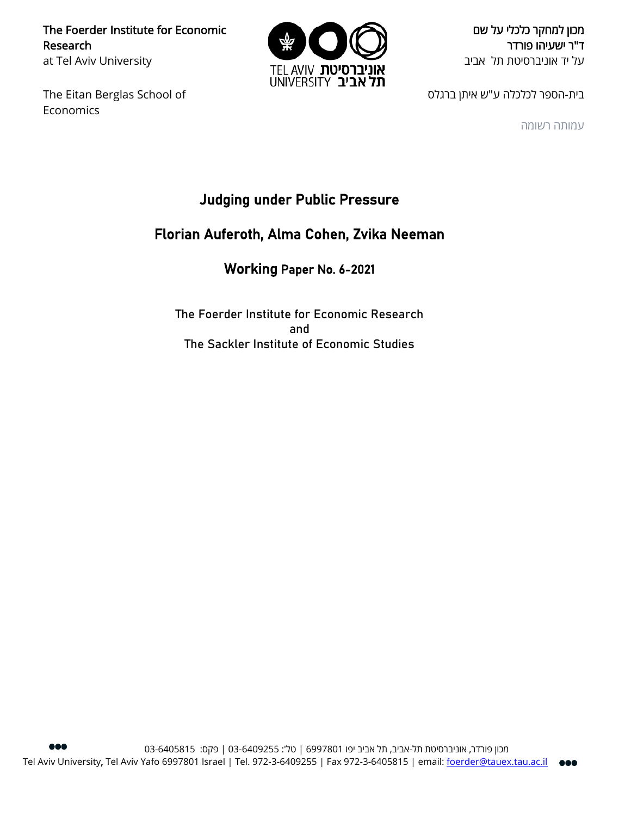The Foerder Institute for Economic Research at Tel Aviv University

The Eitan Berglas School of Economics



מכון למחקר כלכלי על שם ד"ר ישעיהו פורדר על יד אוניברסיטת תל אביב

בית-הספר לכלכלה ע"ש איתן ברגלס

עמותה רשומה

# Judging under Public Pressure

# Florian Auferoth, Alma Cohen, Zvika Neeman

### Working Paper No. 6-2021

The Foerder Institute for Economic Research and The Sackler Institute of Economic Studies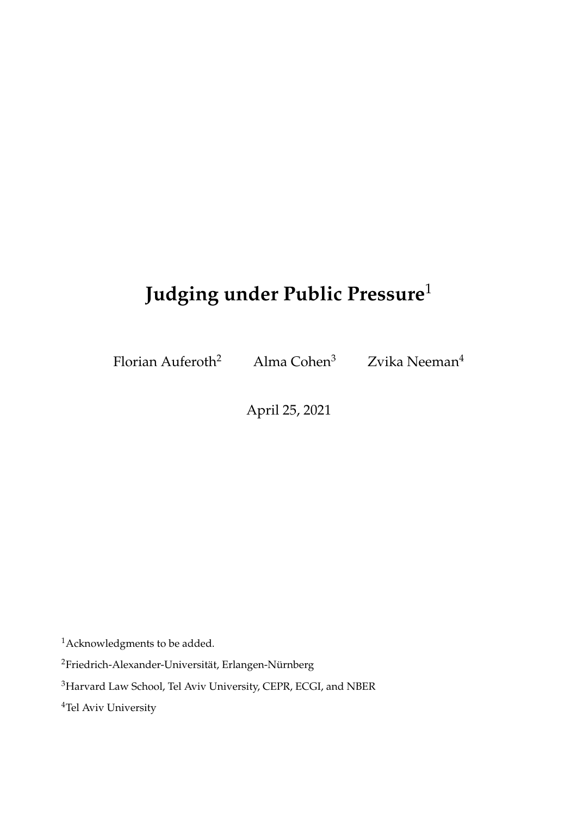# **Judging under Public Pressure**<sup>1</sup>

Florian Auferoth<sup>2</sup> Alma Cohen<sup>3</sup> Zvika Neeman<sup>4</sup>

April 25, 2021

<sup>1</sup>Acknowledgments to be added.

<sup>2</sup>Friedrich-Alexander-Universität, Erlangen-Nürnberg

<sup>3</sup>Harvard Law School, Tel Aviv University, CEPR, ECGI, and NBER

<sup>4</sup>Tel Aviv University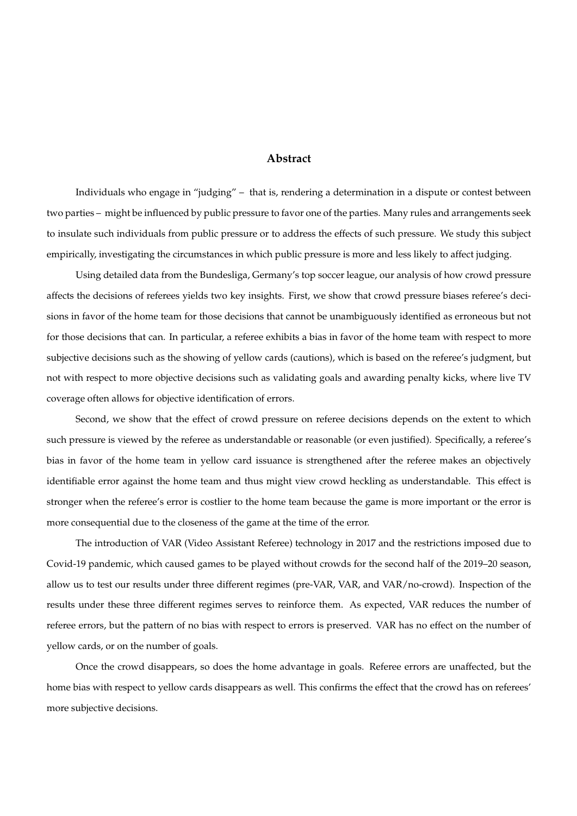#### **Abstract**

Individuals who engage in "judging" – that is, rendering a determination in a dispute or contest between two parties – might be influenced by public pressure to favor one of the parties. Many rules and arrangements seek to insulate such individuals from public pressure or to address the effects of such pressure. We study this subject empirically, investigating the circumstances in which public pressure is more and less likely to affect judging.

Using detailed data from the Bundesliga, Germany's top soccer league, our analysis of how crowd pressure affects the decisions of referees yields two key insights. First, we show that crowd pressure biases referee's decisions in favor of the home team for those decisions that cannot be unambiguously identified as erroneous but not for those decisions that can. In particular, a referee exhibits a bias in favor of the home team with respect to more subjective decisions such as the showing of yellow cards (cautions), which is based on the referee's judgment, but not with respect to more objective decisions such as validating goals and awarding penalty kicks, where live TV coverage often allows for objective identification of errors.

Second, we show that the effect of crowd pressure on referee decisions depends on the extent to which such pressure is viewed by the referee as understandable or reasonable (or even justified). Specifically, a referee's bias in favor of the home team in yellow card issuance is strengthened after the referee makes an objectively identifiable error against the home team and thus might view crowd heckling as understandable. This effect is stronger when the referee's error is costlier to the home team because the game is more important or the error is more consequential due to the closeness of the game at the time of the error.

The introduction of VAR (Video Assistant Referee) technology in 2017 and the restrictions imposed due to Covid-19 pandemic, which caused games to be played without crowds for the second half of the 2019–20 season, allow us to test our results under three different regimes (pre-VAR, VAR, and VAR/no-crowd). Inspection of the results under these three different regimes serves to reinforce them. As expected, VAR reduces the number of referee errors, but the pattern of no bias with respect to errors is preserved. VAR has no effect on the number of yellow cards, or on the number of goals.

Once the crowd disappears, so does the home advantage in goals. Referee errors are unaffected, but the home bias with respect to yellow cards disappears as well. This confirms the effect that the crowd has on referees' more subjective decisions.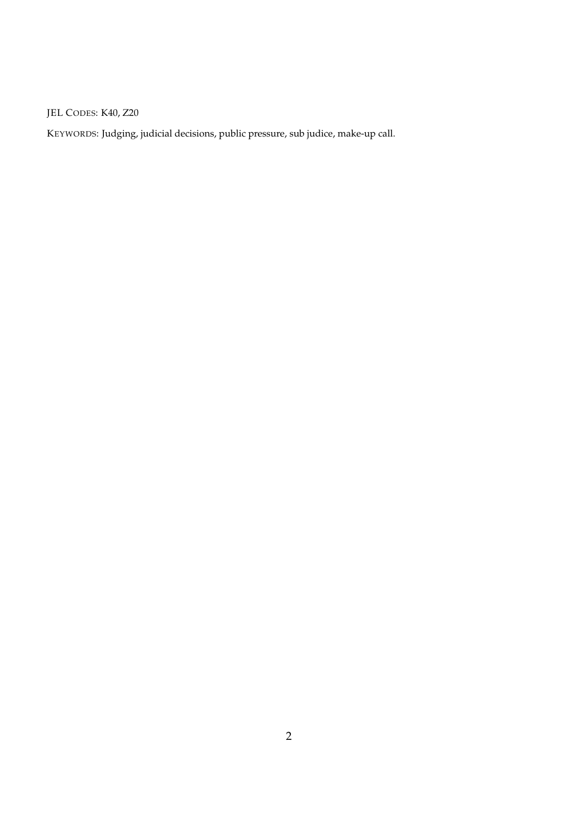JEL CODES: K40, Z20

KEYWORDS: Judging, judicial decisions, public pressure, sub judice, make-up call.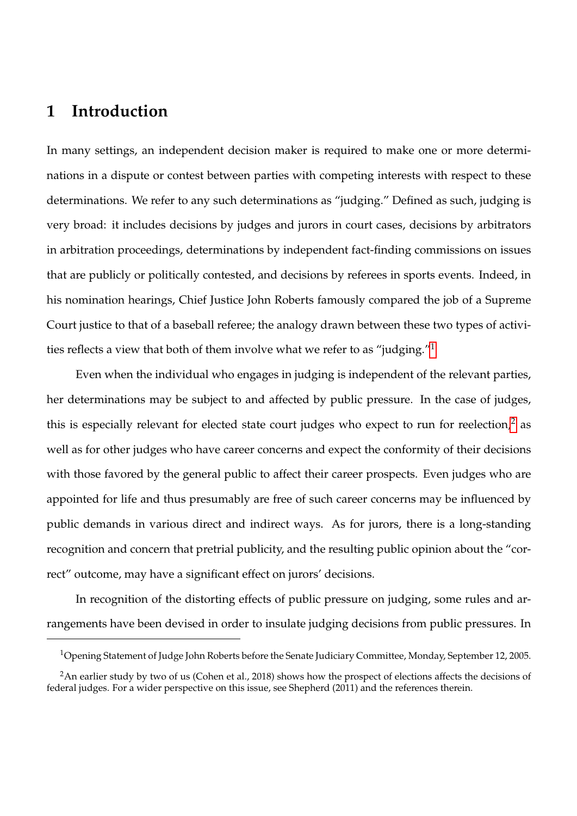# **1 Introduction**

In many settings, an independent decision maker is required to make one or more determinations in a dispute or contest between parties with competing interests with respect to these determinations. We refer to any such determinations as "judging." Defined as such, judging is very broad: it includes decisions by judges and jurors in court cases, decisions by arbitrators in arbitration proceedings, determinations by independent fact-finding commissions on issues that are publicly or politically contested, and decisions by referees in sports events. Indeed, in his nomination hearings, Chief Justice John Roberts famously compared the job of a Supreme Court justice to that of a baseball referee; the analogy drawn between these two types of activities reflects a view that both of them involve what we refer to as "judging."[1](#page-4-0)

Even when the individual who engages in judging is independent of the relevant parties, her determinations may be subject to and affected by public pressure. In the case of judges, this is especially relevant for elected state court judges who expect to run for reelection,<sup>[2](#page-4-1)</sup> as well as for other judges who have career concerns and expect the conformity of their decisions with those favored by the general public to affect their career prospects. Even judges who are appointed for life and thus presumably are free of such career concerns may be influenced by public demands in various direct and indirect ways. As for jurors, there is a long-standing recognition and concern that pretrial publicity, and the resulting public opinion about the "correct" outcome, may have a significant effect on jurors' decisions.

In recognition of the distorting effects of public pressure on judging, some rules and arrangements have been devised in order to insulate judging decisions from public pressures. In

<span id="page-4-1"></span><span id="page-4-0"></span><sup>1</sup>Opening Statement of Judge John Roberts before the Senate Judiciary Committee, Monday, September 12, 2005.

<sup>&</sup>lt;sup>2</sup>An earlier study by two of us (Cohen et al., 2018) shows how the prospect of elections affects the decisions of federal judges. For a wider perspective on this issue, see Shepherd (2011) and the references therein.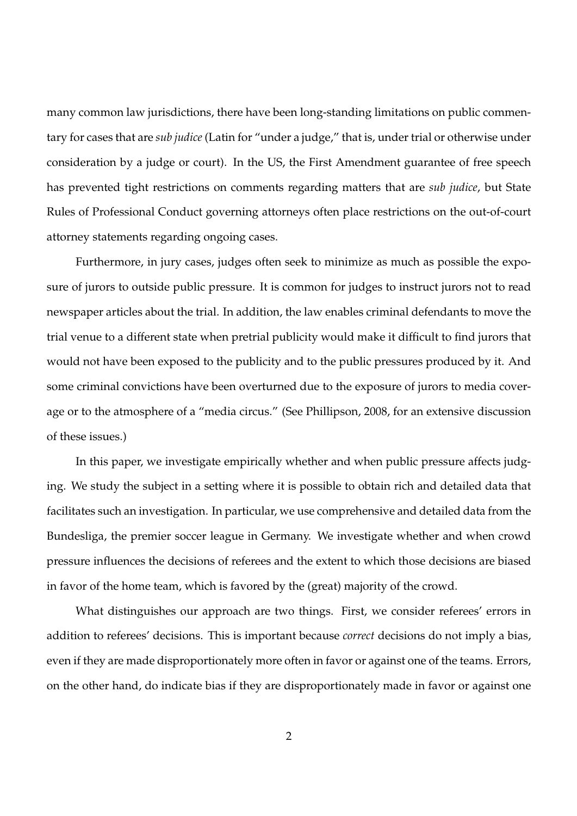many common law jurisdictions, there have been long-standing limitations on public commentary for cases that are *sub judice* (Latin for "under a judge," that is, under trial or otherwise under consideration by a judge or court). In the US, the First Amendment guarantee of free speech has prevented tight restrictions on comments regarding matters that are *sub judice*, but State Rules of Professional Conduct governing attorneys often place restrictions on the out-of-court attorney statements regarding ongoing cases.

Furthermore, in jury cases, judges often seek to minimize as much as possible the exposure of jurors to outside public pressure. It is common for judges to instruct jurors not to read newspaper articles about the trial. In addition, the law enables criminal defendants to move the trial venue to a different state when pretrial publicity would make it difficult to find jurors that would not have been exposed to the publicity and to the public pressures produced by it. And some criminal convictions have been overturned due to the exposure of jurors to media coverage or to the atmosphere of a "media circus." (See Phillipson, 2008, for an extensive discussion of these issues.)

In this paper, we investigate empirically whether and when public pressure affects judging. We study the subject in a setting where it is possible to obtain rich and detailed data that facilitates such an investigation. In particular, we use comprehensive and detailed data from the Bundesliga, the premier soccer league in Germany. We investigate whether and when crowd pressure influences the decisions of referees and the extent to which those decisions are biased in favor of the home team, which is favored by the (great) majority of the crowd.

What distinguishes our approach are two things. First, we consider referees' errors in addition to referees' decisions. This is important because *correct* decisions do not imply a bias, even if they are made disproportionately more often in favor or against one of the teams. Errors, on the other hand, do indicate bias if they are disproportionately made in favor or against one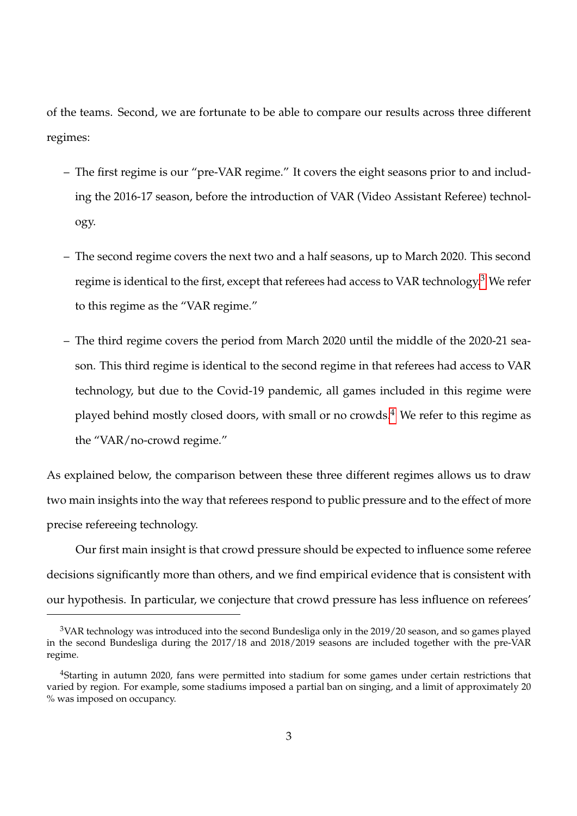of the teams. Second, we are fortunate to be able to compare our results across three different regimes:

- The first regime is our "pre-VAR regime." It covers the eight seasons prior to and including the 2016-17 season, before the introduction of VAR (Video Assistant Referee) technology.
- The second regime covers the next two and a half seasons, up to March 2020. This second regime is identical to the first, except that referees had access to VAR technology.<sup>[3](#page-6-0)</sup> We refer to this regime as the "VAR regime."
- The third regime covers the period from March 2020 until the middle of the 2020-21 season. This third regime is identical to the second regime in that referees had access to VAR technology, but due to the Covid-19 pandemic, all games included in this regime were played behind mostly closed doors, with small or no crowds.<sup>[4](#page-6-1)</sup> We refer to this regime as the "VAR/no-crowd regime."

As explained below, the comparison between these three different regimes allows us to draw two main insights into the way that referees respond to public pressure and to the effect of more precise refereeing technology.

Our first main insight is that crowd pressure should be expected to influence some referee decisions significantly more than others, and we find empirical evidence that is consistent with our hypothesis. In particular, we conjecture that crowd pressure has less influence on referees'

<span id="page-6-0"></span><sup>&</sup>lt;sup>3</sup>VAR technology was introduced into the second Bundesliga only in the 2019/20 season, and so games played in the second Bundesliga during the 2017/18 and 2018/2019 seasons are included together with the pre-VAR regime.

<span id="page-6-1"></span><sup>4</sup>Starting in autumn 2020, fans were permitted into stadium for some games under certain restrictions that varied by region. For example, some stadiums imposed a partial ban on singing, and a limit of approximately 20 % was imposed on occupancy.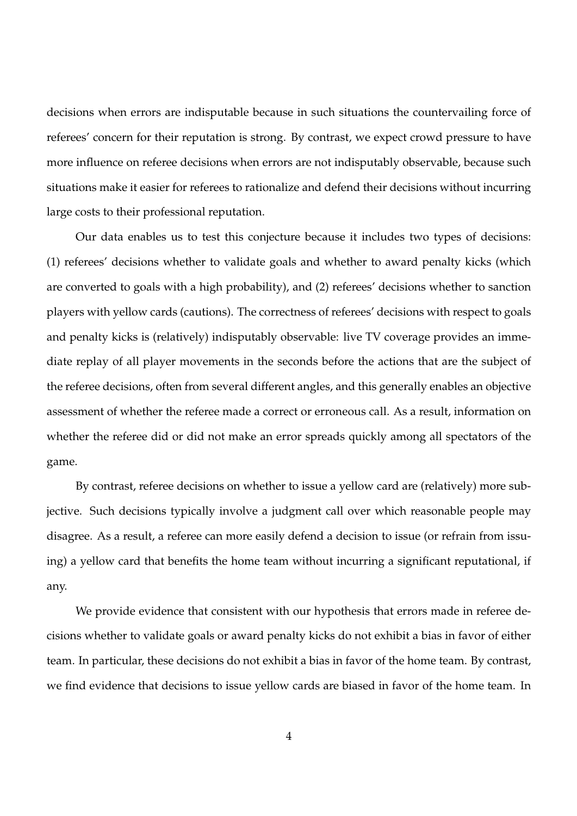decisions when errors are indisputable because in such situations the countervailing force of referees' concern for their reputation is strong. By contrast, we expect crowd pressure to have more influence on referee decisions when errors are not indisputably observable, because such situations make it easier for referees to rationalize and defend their decisions without incurring large costs to their professional reputation.

Our data enables us to test this conjecture because it includes two types of decisions: (1) referees' decisions whether to validate goals and whether to award penalty kicks (which are converted to goals with a high probability), and (2) referees' decisions whether to sanction players with yellow cards (cautions). The correctness of referees' decisions with respect to goals and penalty kicks is (relatively) indisputably observable: live TV coverage provides an immediate replay of all player movements in the seconds before the actions that are the subject of the referee decisions, often from several different angles, and this generally enables an objective assessment of whether the referee made a correct or erroneous call. As a result, information on whether the referee did or did not make an error spreads quickly among all spectators of the game.

By contrast, referee decisions on whether to issue a yellow card are (relatively) more subjective. Such decisions typically involve a judgment call over which reasonable people may disagree. As a result, a referee can more easily defend a decision to issue (or refrain from issuing) a yellow card that benefits the home team without incurring a significant reputational, if any.

We provide evidence that consistent with our hypothesis that errors made in referee decisions whether to validate goals or award penalty kicks do not exhibit a bias in favor of either team. In particular, these decisions do not exhibit a bias in favor of the home team. By contrast, we find evidence that decisions to issue yellow cards are biased in favor of the home team. In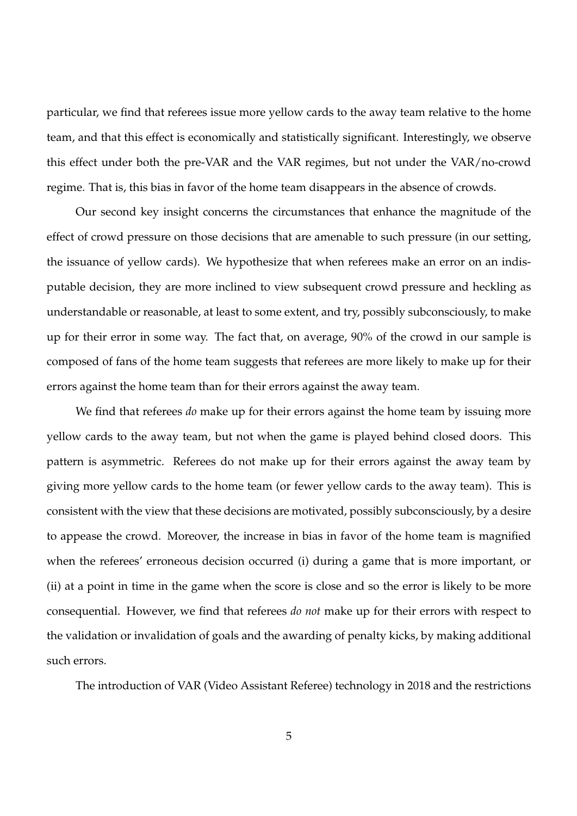particular, we find that referees issue more yellow cards to the away team relative to the home team, and that this effect is economically and statistically significant. Interestingly, we observe this effect under both the pre-VAR and the VAR regimes, but not under the VAR/no-crowd regime. That is, this bias in favor of the home team disappears in the absence of crowds.

Our second key insight concerns the circumstances that enhance the magnitude of the effect of crowd pressure on those decisions that are amenable to such pressure (in our setting, the issuance of yellow cards). We hypothesize that when referees make an error on an indisputable decision, they are more inclined to view subsequent crowd pressure and heckling as understandable or reasonable, at least to some extent, and try, possibly subconsciously, to make up for their error in some way. The fact that, on average, 90% of the crowd in our sample is composed of fans of the home team suggests that referees are more likely to make up for their errors against the home team than for their errors against the away team.

We find that referees *do* make up for their errors against the home team by issuing more yellow cards to the away team, but not when the game is played behind closed doors. This pattern is asymmetric. Referees do not make up for their errors against the away team by giving more yellow cards to the home team (or fewer yellow cards to the away team). This is consistent with the view that these decisions are motivated, possibly subconsciously, by a desire to appease the crowd. Moreover, the increase in bias in favor of the home team is magnified when the referees' erroneous decision occurred (i) during a game that is more important, or (ii) at a point in time in the game when the score is close and so the error is likely to be more consequential. However, we find that referees *do not* make up for their errors with respect to the validation or invalidation of goals and the awarding of penalty kicks, by making additional such errors.

The introduction of VAR (Video Assistant Referee) technology in 2018 and the restrictions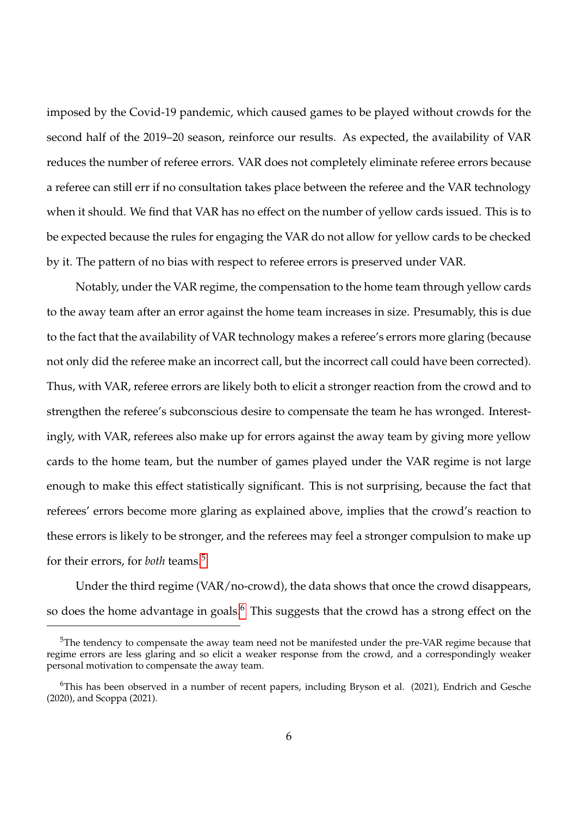imposed by the Covid-19 pandemic, which caused games to be played without crowds for the second half of the 2019–20 season, reinforce our results. As expected, the availability of VAR reduces the number of referee errors. VAR does not completely eliminate referee errors because a referee can still err if no consultation takes place between the referee and the VAR technology when it should. We find that VAR has no effect on the number of yellow cards issued. This is to be expected because the rules for engaging the VAR do not allow for yellow cards to be checked by it. The pattern of no bias with respect to referee errors is preserved under VAR.

Notably, under the VAR regime, the compensation to the home team through yellow cards to the away team after an error against the home team increases in size. Presumably, this is due to the fact that the availability of VAR technology makes a referee's errors more glaring (because not only did the referee make an incorrect call, but the incorrect call could have been corrected). Thus, with VAR, referee errors are likely both to elicit a stronger reaction from the crowd and to strengthen the referee's subconscious desire to compensate the team he has wronged. Interestingly, with VAR, referees also make up for errors against the away team by giving more yellow cards to the home team, but the number of games played under the VAR regime is not large enough to make this effect statistically significant. This is not surprising, because the fact that referees' errors become more glaring as explained above, implies that the crowd's reaction to these errors is likely to be stronger, and the referees may feel a stronger compulsion to make up for their errors, for *both* teams.[5](#page-9-0)

Under the third regime (VAR/no-crowd), the data shows that once the crowd disappears, so does the home advantage in goals.<sup>[6](#page-9-1)</sup> This suggests that the crowd has a strong effect on the

<span id="page-9-0"></span><sup>&</sup>lt;sup>5</sup>The tendency to compensate the away team need not be manifested under the pre-VAR regime because that regime errors are less glaring and so elicit a weaker response from the crowd, and a correspondingly weaker personal motivation to compensate the away team.

<span id="page-9-1"></span><sup>6</sup>This has been observed in a number of recent papers, including Bryson et al. (2021), Endrich and Gesche (2020), and Scoppa (2021).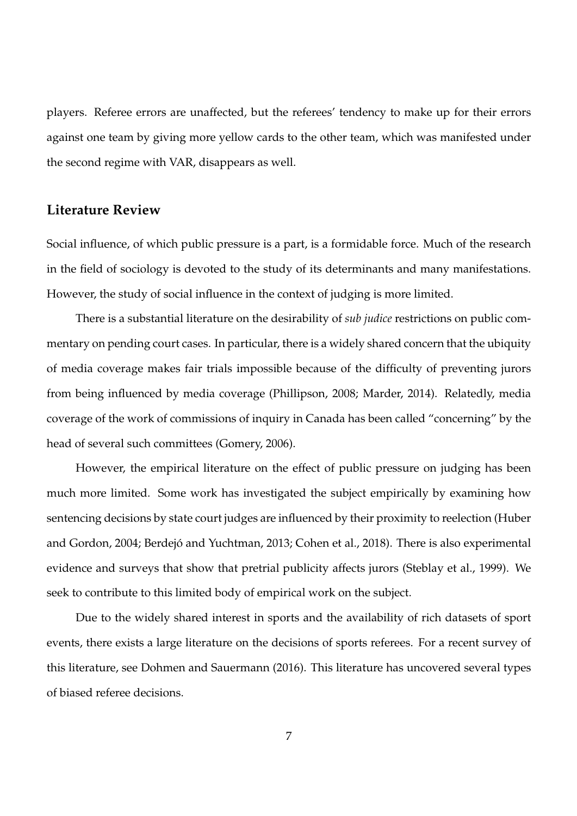players. Referee errors are unaffected, but the referees' tendency to make up for their errors against one team by giving more yellow cards to the other team, which was manifested under the second regime with VAR, disappears as well.

### **Literature Review**

Social influence, of which public pressure is a part, is a formidable force. Much of the research in the field of sociology is devoted to the study of its determinants and many manifestations. However, the study of social influence in the context of judging is more limited.

There is a substantial literature on the desirability of *sub judice* restrictions on public commentary on pending court cases. In particular, there is a widely shared concern that the ubiquity of media coverage makes fair trials impossible because of the difficulty of preventing jurors from being influenced by media coverage (Phillipson, 2008; Marder, 2014). Relatedly, media coverage of the work of commissions of inquiry in Canada has been called "concerning" by the head of several such committees (Gomery, 2006).

However, the empirical literature on the effect of public pressure on judging has been much more limited. Some work has investigated the subject empirically by examining how sentencing decisions by state court judges are influenced by their proximity to reelection (Huber and Gordon, 2004; Berdejó and Yuchtman, 2013; Cohen et al., 2018). There is also experimental evidence and surveys that show that pretrial publicity affects jurors (Steblay et al., 1999). We seek to contribute to this limited body of empirical work on the subject.

Due to the widely shared interest in sports and the availability of rich datasets of sport events, there exists a large literature on the decisions of sports referees. For a recent survey of this literature, see Dohmen and Sauermann (2016). This literature has uncovered several types of biased referee decisions.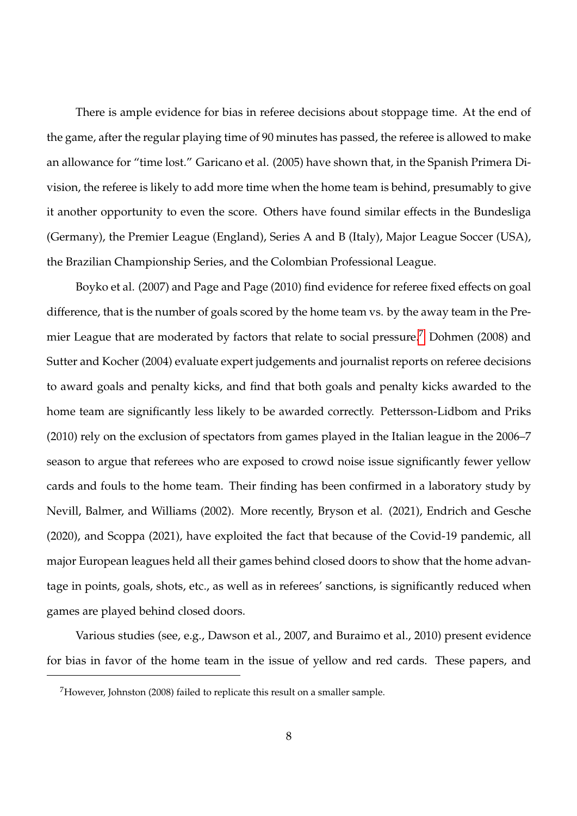There is ample evidence for bias in referee decisions about stoppage time. At the end of the game, after the regular playing time of 90 minutes has passed, the referee is allowed to make an allowance for "time lost." Garicano et al. (2005) have shown that, in the Spanish Primera Division, the referee is likely to add more time when the home team is behind, presumably to give it another opportunity to even the score. Others have found similar effects in the Bundesliga (Germany), the Premier League (England), Series A and B (Italy), Major League Soccer (USA), the Brazilian Championship Series, and the Colombian Professional League.

Boyko et al. (2007) and Page and Page (2010) find evidence for referee fixed effects on goal difference, that is the number of goals scored by the home team vs. by the away team in the Pre-mier League that are moderated by factors that relate to social pressure.<sup>[7](#page-11-0)</sup> Dohmen (2008) and Sutter and Kocher (2004) evaluate expert judgements and journalist reports on referee decisions to award goals and penalty kicks, and find that both goals and penalty kicks awarded to the home team are significantly less likely to be awarded correctly. Pettersson-Lidbom and Priks (2010) rely on the exclusion of spectators from games played in the Italian league in the 2006–7 season to argue that referees who are exposed to crowd noise issue significantly fewer yellow cards and fouls to the home team. Their finding has been confirmed in a laboratory study by Nevill, Balmer, and Williams (2002). More recently, Bryson et al. (2021), Endrich and Gesche (2020), and Scoppa (2021), have exploited the fact that because of the Covid-19 pandemic, all major European leagues held all their games behind closed doors to show that the home advantage in points, goals, shots, etc., as well as in referees' sanctions, is significantly reduced when games are played behind closed doors.

Various studies (see, e.g., Dawson et al., 2007, and Buraimo et al., 2010) present evidence for bias in favor of the home team in the issue of yellow and red cards. These papers, and

<span id="page-11-0"></span><sup>7</sup>However, Johnston (2008) failed to replicate this result on a smaller sample.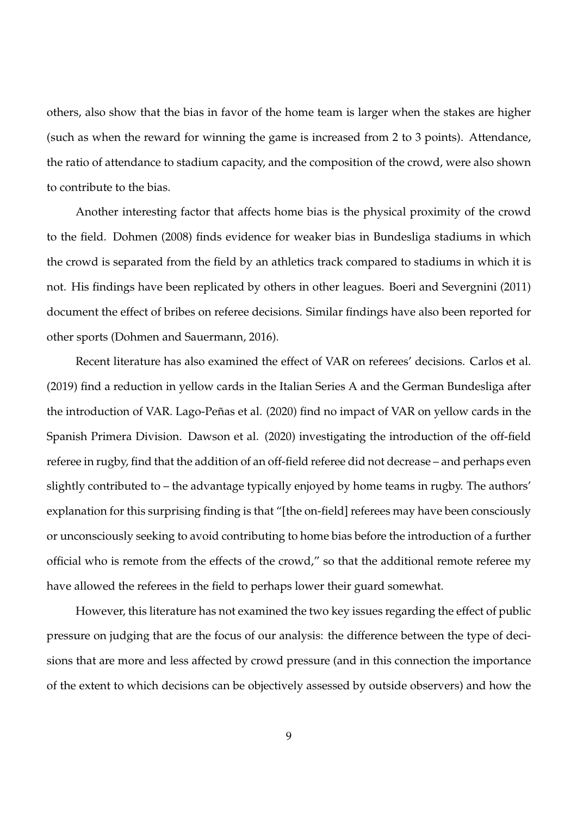others, also show that the bias in favor of the home team is larger when the stakes are higher (such as when the reward for winning the game is increased from 2 to 3 points). Attendance, the ratio of attendance to stadium capacity, and the composition of the crowd, were also shown to contribute to the bias.

Another interesting factor that affects home bias is the physical proximity of the crowd to the field. Dohmen (2008) finds evidence for weaker bias in Bundesliga stadiums in which the crowd is separated from the field by an athletics track compared to stadiums in which it is not. His findings have been replicated by others in other leagues. Boeri and Severgnini (2011) document the effect of bribes on referee decisions. Similar findings have also been reported for other sports (Dohmen and Sauermann, 2016).

Recent literature has also examined the effect of VAR on referees' decisions. Carlos et al. (2019) find a reduction in yellow cards in the Italian Series A and the German Bundesliga after the introduction of VAR. Lago-Peñas et al. (2020) find no impact of VAR on yellow cards in the Spanish Primera Division. Dawson et al. (2020) investigating the introduction of the off-field referee in rugby, find that the addition of an off-field referee did not decrease – and perhaps even slightly contributed to – the advantage typically enjoyed by home teams in rugby. The authors' explanation for this surprising finding is that "[the on-field] referees may have been consciously or unconsciously seeking to avoid contributing to home bias before the introduction of a further official who is remote from the effects of the crowd," so that the additional remote referee my have allowed the referees in the field to perhaps lower their guard somewhat.

However, this literature has not examined the two key issues regarding the effect of public pressure on judging that are the focus of our analysis: the difference between the type of decisions that are more and less affected by crowd pressure (and in this connection the importance of the extent to which decisions can be objectively assessed by outside observers) and how the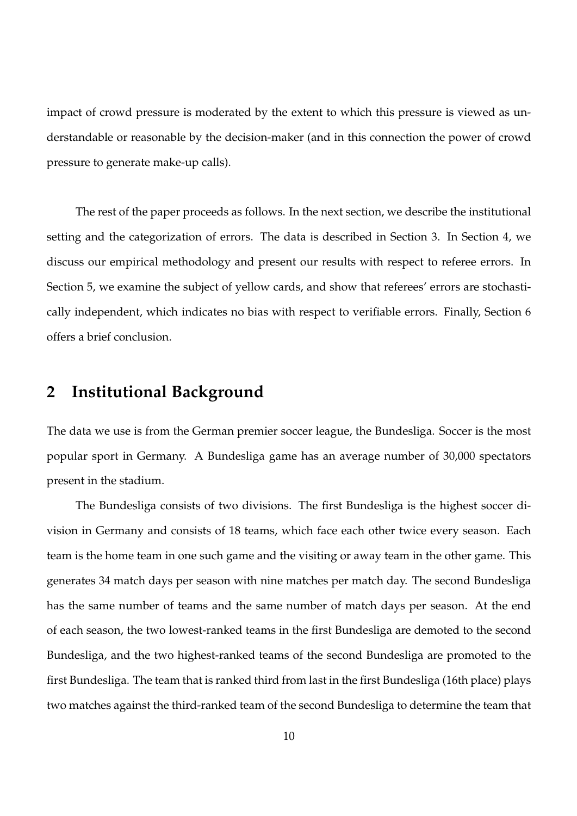impact of crowd pressure is moderated by the extent to which this pressure is viewed as understandable or reasonable by the decision-maker (and in this connection the power of crowd pressure to generate make-up calls).

The rest of the paper proceeds as follows. In the next section, we describe the institutional setting and the categorization of errors. The data is described in Section 3. In Section 4, we discuss our empirical methodology and present our results with respect to referee errors. In Section 5, we examine the subject of yellow cards, and show that referees' errors are stochastically independent, which indicates no bias with respect to verifiable errors. Finally, Section 6 offers a brief conclusion.

## **2 Institutional Background**

The data we use is from the German premier soccer league, the Bundesliga. Soccer is the most popular sport in Germany. A Bundesliga game has an average number of 30,000 spectators present in the stadium.

The Bundesliga consists of two divisions. The first Bundesliga is the highest soccer division in Germany and consists of 18 teams, which face each other twice every season. Each team is the home team in one such game and the visiting or away team in the other game. This generates 34 match days per season with nine matches per match day. The second Bundesliga has the same number of teams and the same number of match days per season. At the end of each season, the two lowest-ranked teams in the first Bundesliga are demoted to the second Bundesliga, and the two highest-ranked teams of the second Bundesliga are promoted to the first Bundesliga. The team that is ranked third from last in the first Bundesliga (16th place) plays two matches against the third-ranked team of the second Bundesliga to determine the team that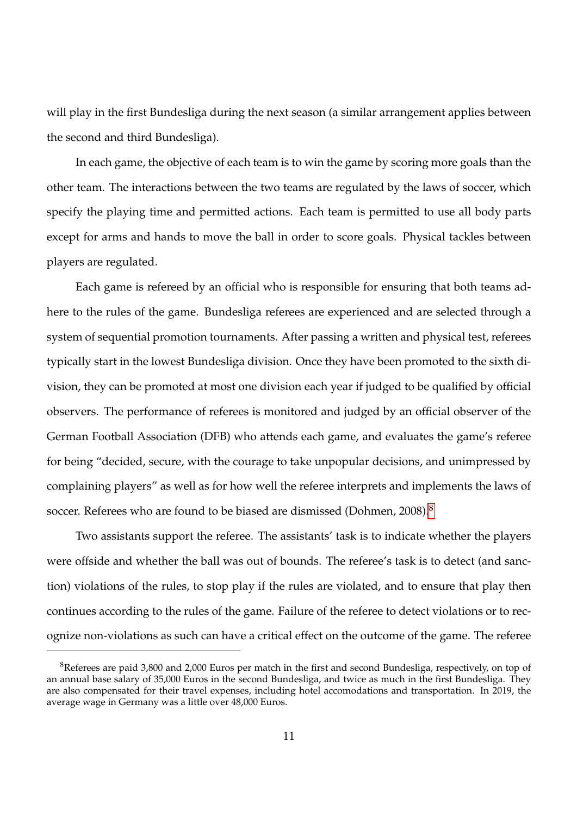will play in the first Bundesliga during the next season (a similar arrangement applies between the second and third Bundesliga).

In each game, the objective of each team is to win the game by scoring more goals than the other team. The interactions between the two teams are regulated by the laws of soccer, which specify the playing time and permitted actions. Each team is permitted to use all body parts except for arms and hands to move the ball in order to score goals. Physical tackles between players are regulated.

Each game is refereed by an official who is responsible for ensuring that both teams adhere to the rules of the game. Bundesliga referees are experienced and are selected through a system of sequential promotion tournaments. After passing a written and physical test, referees typically start in the lowest Bundesliga division. Once they have been promoted to the sixth division, they can be promoted at most one division each year if judged to be qualified by official observers. The performance of referees is monitored and judged by an official observer of the German Football Association (DFB) who attends each game, and evaluates the game's referee for being "decided, secure, with the courage to take unpopular decisions, and unimpressed by complaining players" as well as for how well the referee interprets and implements the laws of soccer. Referees who are found to be biased are dismissed (Dohmen, 200[8](#page-14-0)).<sup>8</sup>

Two assistants support the referee. The assistants' task is to indicate whether the players were offside and whether the ball was out of bounds. The referee's task is to detect (and sanction) violations of the rules, to stop play if the rules are violated, and to ensure that play then continues according to the rules of the game. Failure of the referee to detect violations or to recognize non-violations as such can have a critical effect on the outcome of the game. The referee

<span id="page-14-0"></span><sup>&</sup>lt;sup>8</sup>Referees are paid 3,800 and 2,000 Euros per match in the first and second Bundesliga, respectively, on top of an annual base salary of 35,000 Euros in the second Bundesliga, and twice as much in the first Bundesliga. They are also compensated for their travel expenses, including hotel accomodations and transportation. In 2019, the average wage in Germany was a little over 48,000 Euros.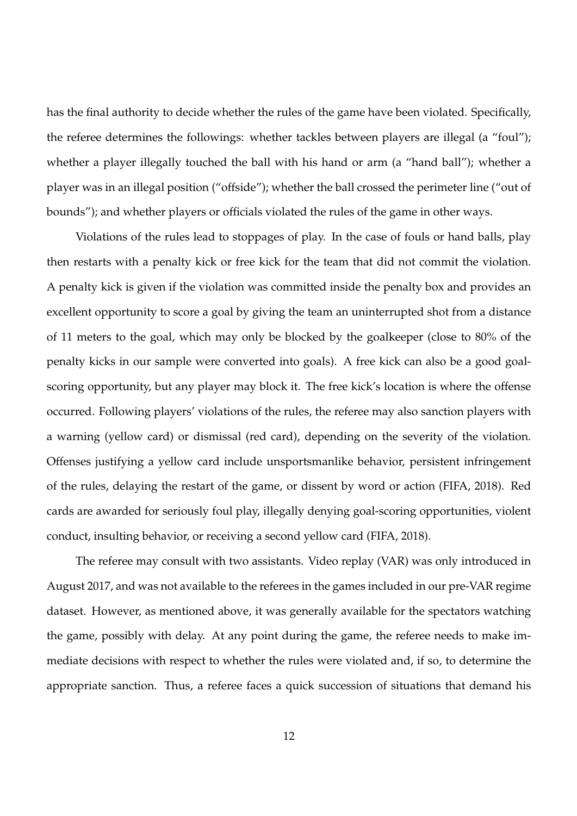has the final authority to decide whether the rules of the game have been violated. Specifically, the referee determines the followings: whether tackles between players are illegal (a "foul"); whether a player illegally touched the ball with his hand or arm (a "hand ball"); whether a player was in an illegal position ("offside"); whether the ball crossed the perimeter line ("out of bounds"); and whether players or officials violated the rules of the game in other ways.

Violations of the rules lead to stoppages of play. In the case of fouls or hand balls, play then restarts with a penalty kick or free kick for the team that did not commit the violation. A penalty kick is given if the violation was committed inside the penalty box and provides an excellent opportunity to score a goal by giving the team an uninterrupted shot from a distance of 11 meters to the goal, which may only be blocked by the goalkeeper (close to 80% of the penalty kicks in our sample were converted into goals). A free kick can also be a good goalscoring opportunity, but any player may block it. The free kick's location is where the offense occurred. Following players' violations of the rules, the referee may also sanction players with a warning (yellow card) or dismissal (red card), depending on the severity of the violation. Offenses justifying a yellow card include unsportsmanlike behavior, persistent infringement of the rules, delaying the restart of the game, or dissent by word or action (FIFA, 2018). Red cards are awarded for seriously foul play, illegally denying goal-scoring opportunities, violent conduct, insulting behavior, or receiving a second yellow card (FIFA, 2018).

The referee may consult with two assistants. Video replay (VAR) was only introduced in August 2017, and was not available to the referees in the games included in our pre-VAR regime dataset. However, as mentioned above, it was generally available for the spectators watching the game, possibly with delay. At any point during the game, the referee needs to make immediate decisions with respect to whether the rules were violated and, if so, to determine the appropriate sanction. Thus, a referee faces a quick succession of situations that demand his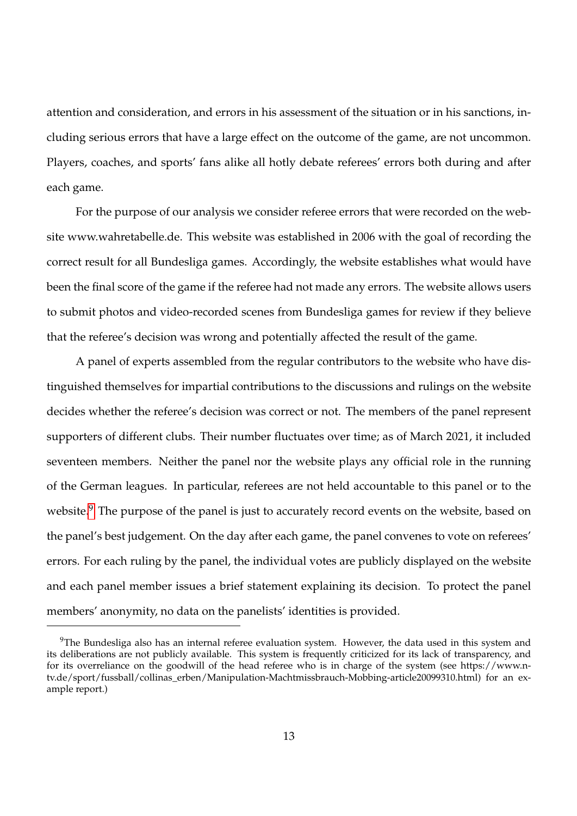attention and consideration, and errors in his assessment of the situation or in his sanctions, including serious errors that have a large effect on the outcome of the game, are not uncommon. Players, coaches, and sports' fans alike all hotly debate referees' errors both during and after each game.

For the purpose of our analysis we consider referee errors that were recorded on the website www.wahretabelle.de. This website was established in 2006 with the goal of recording the correct result for all Bundesliga games. Accordingly, the website establishes what would have been the final score of the game if the referee had not made any errors. The website allows users to submit photos and video-recorded scenes from Bundesliga games for review if they believe that the referee's decision was wrong and potentially affected the result of the game.

A panel of experts assembled from the regular contributors to the website who have distinguished themselves for impartial contributions to the discussions and rulings on the website decides whether the referee's decision was correct or not. The members of the panel represent supporters of different clubs. Their number fluctuates over time; as of March 2021, it included seventeen members. Neither the panel nor the website plays any official role in the running of the German leagues. In particular, referees are not held accountable to this panel or to the website.<sup>[9](#page-16-0)</sup> The purpose of the panel is just to accurately record events on the website, based on the panel's best judgement. On the day after each game, the panel convenes to vote on referees' errors. For each ruling by the panel, the individual votes are publicly displayed on the website and each panel member issues a brief statement explaining its decision. To protect the panel members' anonymity, no data on the panelists' identities is provided.

<span id="page-16-0"></span> $9$ The Bundesliga also has an internal referee evaluation system. However, the data used in this system and its deliberations are not publicly available. This system is frequently criticized for its lack of transparency, and for its overreliance on the goodwill of the head referee who is in charge of the system (see https://www.ntv.de/sport/fussball/collinas\_erben/Manipulation-Machtmissbrauch-Mobbing-article20099310.html) for an example report.)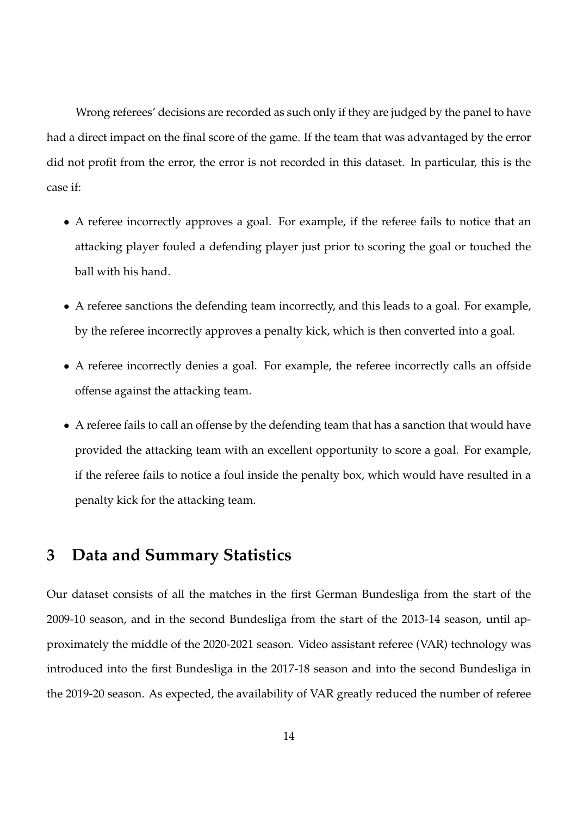Wrong referees' decisions are recorded as such only if they are judged by the panel to have had a direct impact on the final score of the game. If the team that was advantaged by the error did not profit from the error, the error is not recorded in this dataset. In particular, this is the case if:

- A referee incorrectly approves a goal. For example, if the referee fails to notice that an attacking player fouled a defending player just prior to scoring the goal or touched the ball with his hand.
- A referee sanctions the defending team incorrectly, and this leads to a goal. For example, by the referee incorrectly approves a penalty kick, which is then converted into a goal.
- A referee incorrectly denies a goal. For example, the referee incorrectly calls an offside offense against the attacking team.
- A referee fails to call an offense by the defending team that has a sanction that would have provided the attacking team with an excellent opportunity to score a goal. For example, if the referee fails to notice a foul inside the penalty box, which would have resulted in a penalty kick for the attacking team.

### **3 Data and Summary Statistics**

Our dataset consists of all the matches in the first German Bundesliga from the start of the 2009-10 season, and in the second Bundesliga from the start of the 2013-14 season, until approximately the middle of the 2020-2021 season. Video assistant referee (VAR) technology was introduced into the first Bundesliga in the 2017-18 season and into the second Bundesliga in the 2019-20 season. As expected, the availability of VAR greatly reduced the number of referee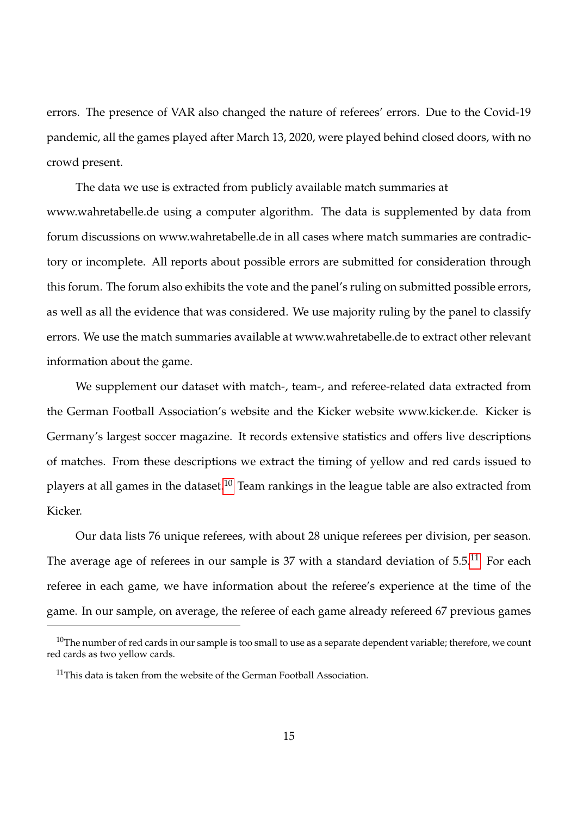errors. The presence of VAR also changed the nature of referees' errors. Due to the Covid-19 pandemic, all the games played after March 13, 2020, were played behind closed doors, with no crowd present.

The data we use is extracted from publicly available match summaries at www.wahretabelle.de using a computer algorithm. The data is supplemented by data from forum discussions on www.wahretabelle.de in all cases where match summaries are contradictory or incomplete. All reports about possible errors are submitted for consideration through this forum. The forum also exhibits the vote and the panel's ruling on submitted possible errors, as well as all the evidence that was considered. We use majority ruling by the panel to classify errors. We use the match summaries available at www.wahretabelle.de to extract other relevant information about the game.

We supplement our dataset with match-, team-, and referee-related data extracted from the German Football Association's website and the Kicker website www.kicker.de. Kicker is Germany's largest soccer magazine. It records extensive statistics and offers live descriptions of matches. From these descriptions we extract the timing of yellow and red cards issued to players at all games in the dataset.<sup>[10](#page-18-0)</sup> Team rankings in the league table are also extracted from Kicker.

Our data lists 76 unique referees, with about 28 unique referees per division, per season. The average age of referees in our sample is 37 with a standard deviation of  $5.5<sup>11</sup>$  $5.5<sup>11</sup>$  $5.5<sup>11</sup>$  For each referee in each game, we have information about the referee's experience at the time of the game. In our sample, on average, the referee of each game already refereed 67 previous games

<span id="page-18-0"></span> $10$ The number of red cards in our sample is too small to use as a separate dependent variable; therefore, we count red cards as two yellow cards.

<span id="page-18-1"></span><sup>&</sup>lt;sup>11</sup>This data is taken from the website of the German Football Association.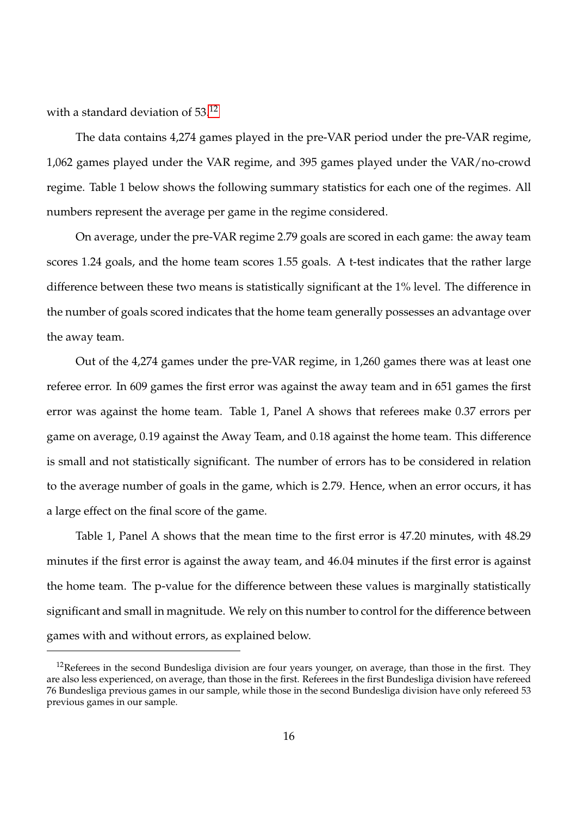with a standard deviation of  $53<sup>12</sup>$  $53<sup>12</sup>$  $53<sup>12</sup>$ 

The data contains 4,274 games played in the pre-VAR period under the pre-VAR regime, 1,062 games played under the VAR regime, and 395 games played under the VAR/no-crowd regime. Table 1 below shows the following summary statistics for each one of the regimes. All numbers represent the average per game in the regime considered.

On average, under the pre-VAR regime 2.79 goals are scored in each game: the away team scores 1.24 goals, and the home team scores 1.55 goals. A t-test indicates that the rather large difference between these two means is statistically significant at the 1% level. The difference in the number of goals scored indicates that the home team generally possesses an advantage over the away team.

Out of the 4,274 games under the pre-VAR regime, in 1,260 games there was at least one referee error. In 609 games the first error was against the away team and in 651 games the first error was against the home team. Table 1, Panel A shows that referees make 0.37 errors per game on average, 0.19 against the Away Team, and 0.18 against the home team. This difference is small and not statistically significant. The number of errors has to be considered in relation to the average number of goals in the game, which is 2.79. Hence, when an error occurs, it has a large effect on the final score of the game.

Table 1, Panel A shows that the mean time to the first error is 47.20 minutes, with 48.29 minutes if the first error is against the away team, and 46.04 minutes if the first error is against the home team. The p-value for the difference between these values is marginally statistically significant and small in magnitude. We rely on this number to control for the difference between games with and without errors, as explained below.

<span id="page-19-0"></span> $12$ Referees in the second Bundesliga division are four years younger, on average, than those in the first. They are also less experienced, on average, than those in the first. Referees in the first Bundesliga division have refereed 76 Bundesliga previous games in our sample, while those in the second Bundesliga division have only refereed 53 previous games in our sample.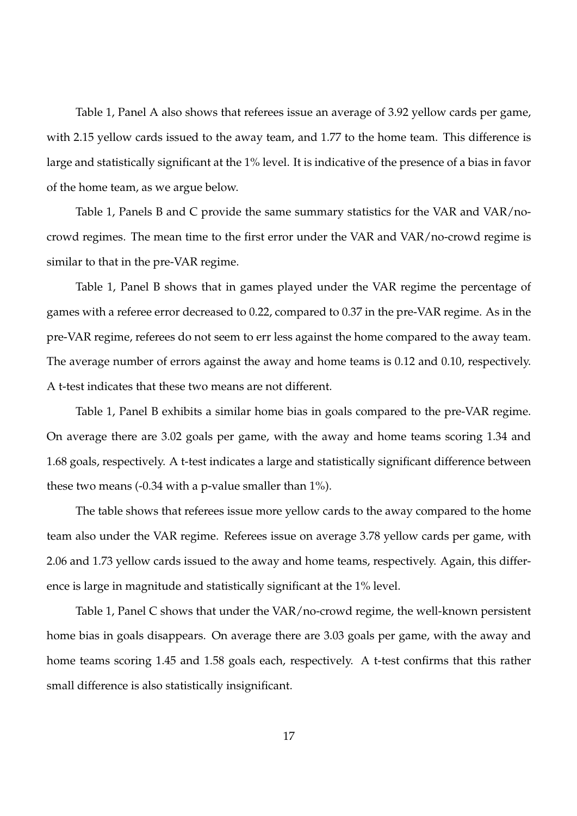Table 1, Panel A also shows that referees issue an average of 3.92 yellow cards per game, with 2.15 yellow cards issued to the away team, and 1.77 to the home team. This difference is large and statistically significant at the 1% level. It is indicative of the presence of a bias in favor of the home team, as we argue below.

Table 1, Panels B and C provide the same summary statistics for the VAR and VAR/nocrowd regimes. The mean time to the first error under the VAR and VAR/no-crowd regime is similar to that in the pre-VAR regime.

Table 1, Panel B shows that in games played under the VAR regime the percentage of games with a referee error decreased to 0.22, compared to 0.37 in the pre-VAR regime. As in the pre-VAR regime, referees do not seem to err less against the home compared to the away team. The average number of errors against the away and home teams is 0.12 and 0.10, respectively. A t-test indicates that these two means are not different.

Table 1, Panel B exhibits a similar home bias in goals compared to the pre-VAR regime. On average there are 3.02 goals per game, with the away and home teams scoring 1.34 and 1.68 goals, respectively. A t-test indicates a large and statistically significant difference between these two means (-0.34 with a p-value smaller than 1%).

The table shows that referees issue more yellow cards to the away compared to the home team also under the VAR regime. Referees issue on average 3.78 yellow cards per game, with 2.06 and 1.73 yellow cards issued to the away and home teams, respectively. Again, this difference is large in magnitude and statistically significant at the 1% level.

Table 1, Panel C shows that under the VAR/no-crowd regime, the well-known persistent home bias in goals disappears. On average there are 3.03 goals per game, with the away and home teams scoring 1.45 and 1.58 goals each, respectively. A t-test confirms that this rather small difference is also statistically insignificant.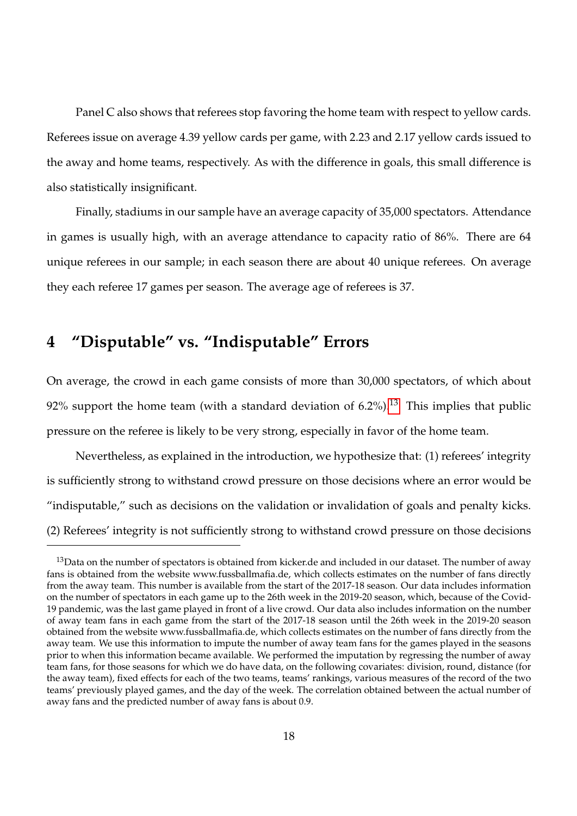Panel C also shows that referees stop favoring the home team with respect to yellow cards. Referees issue on average 4.39 yellow cards per game, with 2.23 and 2.17 yellow cards issued to the away and home teams, respectively. As with the difference in goals, this small difference is also statistically insignificant.

Finally, stadiums in our sample have an average capacity of 35,000 spectators. Attendance in games is usually high, with an average attendance to capacity ratio of 86%. There are 64 unique referees in our sample; in each season there are about 40 unique referees. On average they each referee 17 games per season. The average age of referees is 37.

# **4 "Disputable" vs. "Indisputable" Errors**

On average, the crowd in each game consists of more than 30,000 spectators, of which about 92% support the home team (with a standard deviation of  $6.2\%$ ).<sup>[13](#page-21-0)</sup> This implies that public pressure on the referee is likely to be very strong, especially in favor of the home team.

Nevertheless, as explained in the introduction, we hypothesize that: (1) referees' integrity is sufficiently strong to withstand crowd pressure on those decisions where an error would be "indisputable," such as decisions on the validation or invalidation of goals and penalty kicks. (2) Referees' integrity is not sufficiently strong to withstand crowd pressure on those decisions

<span id="page-21-0"></span><sup>&</sup>lt;sup>13</sup>Data on the number of spectators is obtained from kicker.de and included in our dataset. The number of away fans is obtained from the website www.fussballmafia.de, which collects estimates on the number of fans directly from the away team. This number is available from the start of the 2017-18 season. Our data includes information on the number of spectators in each game up to the 26th week in the 2019-20 season, which, because of the Covid-19 pandemic, was the last game played in front of a live crowd. Our data also includes information on the number of away team fans in each game from the start of the 2017-18 season until the 26th week in the 2019-20 season obtained from the website www.fussballmafia.de, which collects estimates on the number of fans directly from the away team. We use this information to impute the number of away team fans for the games played in the seasons prior to when this information became available. We performed the imputation by regressing the number of away team fans, for those seasons for which we do have data, on the following covariates: division, round, distance (for the away team), fixed effects for each of the two teams, teams' rankings, various measures of the record of the two teams' previously played games, and the day of the week. The correlation obtained between the actual number of away fans and the predicted number of away fans is about 0.9.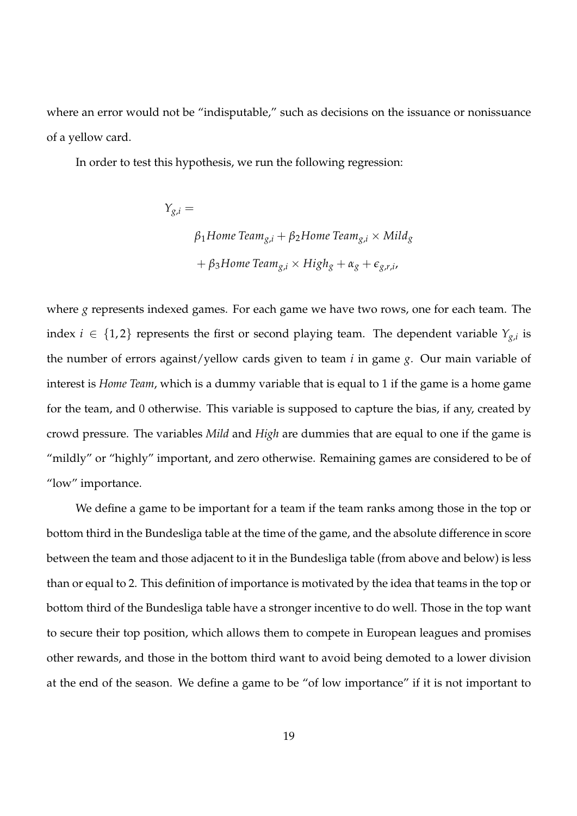where an error would not be "indisputable," such as decisions on the issuance or nonissuance of a yellow card.

In order to test this hypothesis, we run the following regression:

$$
Y_{g,i} =
$$
\n
$$
\beta_1 \text{Home Team}_{g,i} + \beta_2 \text{Home Team}_{g,i} \times \text{Mild}_g
$$
\n
$$
+ \beta_3 \text{Home Team}_{g,i} \times \text{High}_g + \alpha_g + \epsilon_{g,r,i},
$$

where *g* represents indexed games. For each game we have two rows, one for each team. The index  $i \in \{1,2\}$  represents the first or second playing team. The dependent variable  $Y_{g,i}$  is the number of errors against/yellow cards given to team *i* in game *g*. Our main variable of interest is *Home Team*, which is a dummy variable that is equal to 1 if the game is a home game for the team, and 0 otherwise. This variable is supposed to capture the bias, if any, created by crowd pressure. The variables *Mild* and *High* are dummies that are equal to one if the game is "mildly" or "highly" important, and zero otherwise. Remaining games are considered to be of "low" importance.

We define a game to be important for a team if the team ranks among those in the top or bottom third in the Bundesliga table at the time of the game, and the absolute difference in score between the team and those adjacent to it in the Bundesliga table (from above and below) is less than or equal to 2. This definition of importance is motivated by the idea that teams in the top or bottom third of the Bundesliga table have a stronger incentive to do well. Those in the top want to secure their top position, which allows them to compete in European leagues and promises other rewards, and those in the bottom third want to avoid being demoted to a lower division at the end of the season. We define a game to be "of low importance" if it is not important to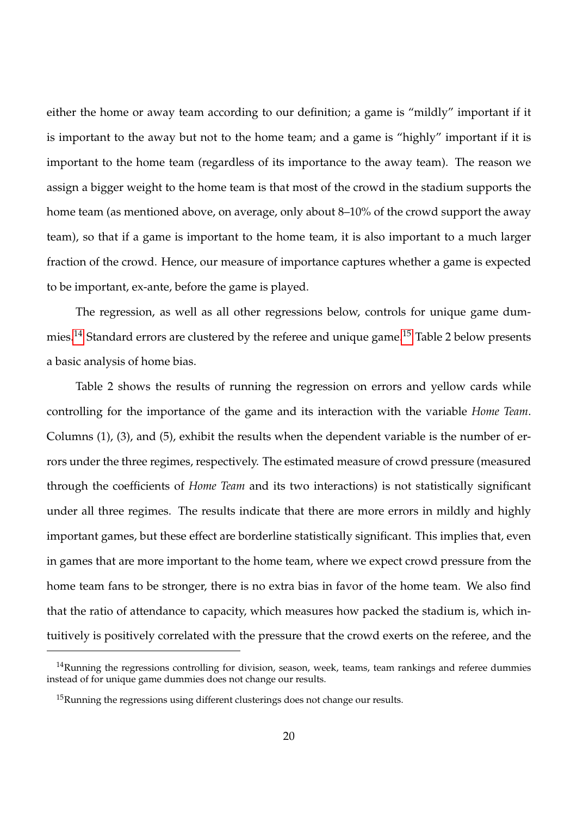either the home or away team according to our definition; a game is "mildly" important if it is important to the away but not to the home team; and a game is "highly" important if it is important to the home team (regardless of its importance to the away team). The reason we assign a bigger weight to the home team is that most of the crowd in the stadium supports the home team (as mentioned above, on average, only about 8–10% of the crowd support the away team), so that if a game is important to the home team, it is also important to a much larger fraction of the crowd. Hence, our measure of importance captures whether a game is expected to be important, ex-ante, before the game is played.

The regression, as well as all other regressions below, controls for unique game dum-mies.<sup>[14](#page-23-0)</sup> Standard errors are clustered by the referee and unique game.<sup>[15](#page-23-1)</sup> Table 2 below presents a basic analysis of home bias.

Table 2 shows the results of running the regression on errors and yellow cards while controlling for the importance of the game and its interaction with the variable *Home Team*. Columns (1), (3), and (5), exhibit the results when the dependent variable is the number of errors under the three regimes, respectively. The estimated measure of crowd pressure (measured through the coefficients of *Home Team* and its two interactions) is not statistically significant under all three regimes. The results indicate that there are more errors in mildly and highly important games, but these effect are borderline statistically significant. This implies that, even in games that are more important to the home team, where we expect crowd pressure from the home team fans to be stronger, there is no extra bias in favor of the home team. We also find that the ratio of attendance to capacity, which measures how packed the stadium is, which intuitively is positively correlated with the pressure that the crowd exerts on the referee, and the

<span id="page-23-0"></span> $14$ Running the regressions controlling for division, season, week, teams, team rankings and referee dummies instead of for unique game dummies does not change our results.

<span id="page-23-1"></span><sup>&</sup>lt;sup>15</sup>Running the regressions using different clusterings does not change our results.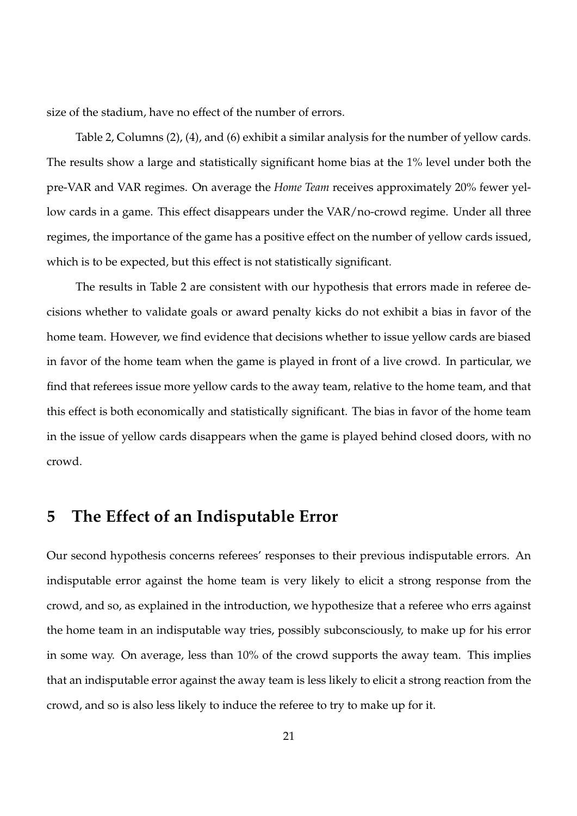size of the stadium, have no effect of the number of errors.

Table 2, Columns (2), (4), and (6) exhibit a similar analysis for the number of yellow cards. The results show a large and statistically significant home bias at the 1% level under both the pre-VAR and VAR regimes. On average the *Home Team* receives approximately 20% fewer yellow cards in a game. This effect disappears under the VAR/no-crowd regime. Under all three regimes, the importance of the game has a positive effect on the number of yellow cards issued, which is to be expected, but this effect is not statistically significant.

The results in Table 2 are consistent with our hypothesis that errors made in referee decisions whether to validate goals or award penalty kicks do not exhibit a bias in favor of the home team. However, we find evidence that decisions whether to issue yellow cards are biased in favor of the home team when the game is played in front of a live crowd. In particular, we find that referees issue more yellow cards to the away team, relative to the home team, and that this effect is both economically and statistically significant. The bias in favor of the home team in the issue of yellow cards disappears when the game is played behind closed doors, with no crowd.

# **5 The Effect of an Indisputable Error**

Our second hypothesis concerns referees' responses to their previous indisputable errors. An indisputable error against the home team is very likely to elicit a strong response from the crowd, and so, as explained in the introduction, we hypothesize that a referee who errs against the home team in an indisputable way tries, possibly subconsciously, to make up for his error in some way. On average, less than 10% of the crowd supports the away team. This implies that an indisputable error against the away team is less likely to elicit a strong reaction from the crowd, and so is also less likely to induce the referee to try to make up for it.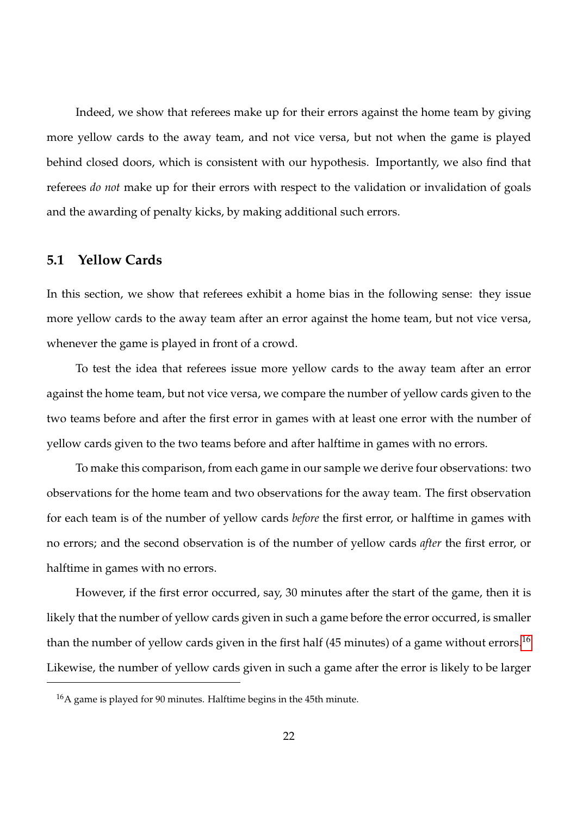Indeed, we show that referees make up for their errors against the home team by giving more yellow cards to the away team, and not vice versa, but not when the game is played behind closed doors, which is consistent with our hypothesis. Importantly, we also find that referees *do not* make up for their errors with respect to the validation or invalidation of goals and the awarding of penalty kicks, by making additional such errors.

#### **5.1 Yellow Cards**

In this section, we show that referees exhibit a home bias in the following sense: they issue more yellow cards to the away team after an error against the home team, but not vice versa, whenever the game is played in front of a crowd.

To test the idea that referees issue more yellow cards to the away team after an error against the home team, but not vice versa, we compare the number of yellow cards given to the two teams before and after the first error in games with at least one error with the number of yellow cards given to the two teams before and after halftime in games with no errors.

To make this comparison, from each game in our sample we derive four observations: two observations for the home team and two observations for the away team. The first observation for each team is of the number of yellow cards *before* the first error, or halftime in games with no errors; and the second observation is of the number of yellow cards *after* the first error, or halftime in games with no errors.

However, if the first error occurred, say, 30 minutes after the start of the game, then it is likely that the number of yellow cards given in such a game before the error occurred, is smaller than the number of yellow cards given in the first half  $(45 \text{ minutes})$  of a game without errors.<sup>[16](#page-25-0)</sup> Likewise, the number of yellow cards given in such a game after the error is likely to be larger

<span id="page-25-0"></span><sup>16</sup>A game is played for 90 minutes. Halftime begins in the 45th minute.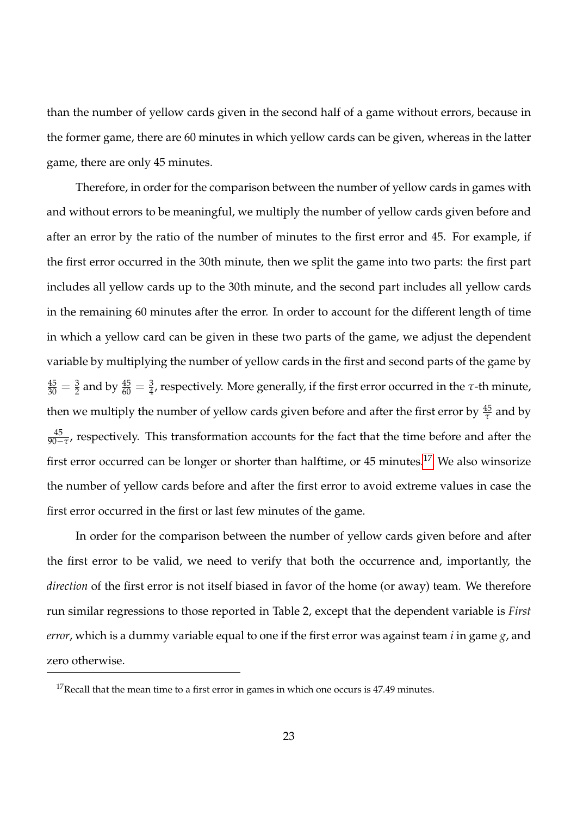than the number of yellow cards given in the second half of a game without errors, because in the former game, there are 60 minutes in which yellow cards can be given, whereas in the latter game, there are only 45 minutes.

Therefore, in order for the comparison between the number of yellow cards in games with and without errors to be meaningful, we multiply the number of yellow cards given before and after an error by the ratio of the number of minutes to the first error and 45. For example, if the first error occurred in the 30th minute, then we split the game into two parts: the first part includes all yellow cards up to the 30th minute, and the second part includes all yellow cards in the remaining 60 minutes after the error. In order to account for the different length of time in which a yellow card can be given in these two parts of the game, we adjust the dependent variable by multiplying the number of yellow cards in the first and second parts of the game by  $\frac{45}{30}=\frac{3}{2}$  and by  $\frac{45}{60}=\frac{3}{4}$ , respectively. More generally, if the first error occurred in the *τ*-th minute, then we multiply the number of yellow cards given before and after the first error by  $\frac{45}{\tau}$  and by  $\frac{45}{90-\tau}$ , respectively. This transformation accounts for the fact that the time before and after the first error occurred can be longer or shorter than halftime, or 45 minutes.<sup>[17](#page-26-0)</sup> We also winsorize the number of yellow cards before and after the first error to avoid extreme values in case the first error occurred in the first or last few minutes of the game.

In order for the comparison between the number of yellow cards given before and after the first error to be valid, we need to verify that both the occurrence and, importantly, the *direction* of the first error is not itself biased in favor of the home (or away) team. We therefore run similar regressions to those reported in Table 2, except that the dependent variable is *First error*, which is a dummy variable equal to one if the first error was against team *i* in game *g*, and zero otherwise.

<span id="page-26-0"></span> $17$ Recall that the mean time to a first error in games in which one occurs is 47.49 minutes.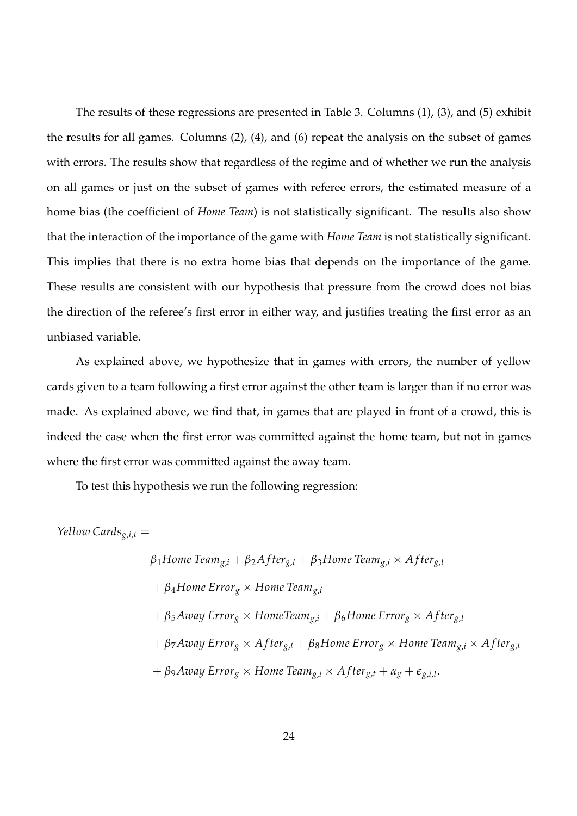The results of these regressions are presented in Table 3. Columns (1), (3), and (5) exhibit the results for all games. Columns (2), (4), and (6) repeat the analysis on the subset of games with errors. The results show that regardless of the regime and of whether we run the analysis on all games or just on the subset of games with referee errors, the estimated measure of a home bias (the coefficient of *Home Team*) is not statistically significant. The results also show that the interaction of the importance of the game with *Home Team* is not statistically significant. This implies that there is no extra home bias that depends on the importance of the game. These results are consistent with our hypothesis that pressure from the crowd does not bias the direction of the referee's first error in either way, and justifies treating the first error as an unbiased variable.

As explained above, we hypothesize that in games with errors, the number of yellow cards given to a team following a first error against the other team is larger than if no error was made. As explained above, we find that, in games that are played in front of a crowd, this is indeed the case when the first error was committed against the home team, but not in games where the first error was committed against the away team.

To test this hypothesis we run the following regression:

*Yellow Cards* $g_{i,t}$  =

$$
\beta_1 \text{Home Team}_{g,i} + \beta_2 \text{After}_{g,t} + \beta_3 \text{Home Team}_{g,i} \times \text{After}_{g,t}
$$
\n
$$
+ \beta_4 \text{Home Error}_g \times \text{Home Team}_{g,i}
$$
\n
$$
+ \beta_5 \text{Avay Error}_g \times \text{Home Team}_{g,i} + \beta_6 \text{Home Error}_g \times \text{After}_{g,t}
$$
\n
$$
+ \beta_7 \text{Avay Error}_g \times \text{After}_{g,t} + \beta_8 \text{Home Error}_g \times \text{Home Team}_{g,i} \times \text{After}_{g,t}
$$
\n
$$
+ \beta_9 \text{Avay Error}_g \times \text{Home Team}_{g,i} \times \text{After}_{g,t} + \alpha_g + \epsilon_{g,i,t}.
$$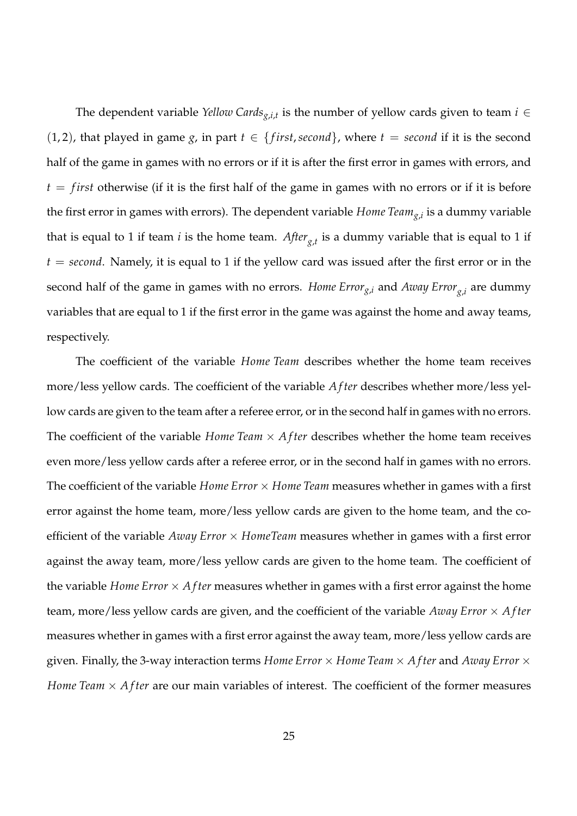The dependent variable *Yellow Cards*<sub>*g*,*i*,*t*</sub> is the number of yellow cards given to team  $i \in$ (1, 2), that played in game *g*, in part  $t \in \{first, second\}$ , where  $t = second$  if it is the second half of the game in games with no errors or if it is after the first error in games with errors, and  $t = first$  otherwise (if it is the first half of the game in games with no errors or if it is before the first error in games with errors). The dependent variable *Home Teamg*,*<sup>i</sup>* is a dummy variable that is equal to 1 if team *i* is the home team. *Afterg*,*<sup>t</sup>* is a dummy variable that is equal to 1 if  $t = second$ . Namely, it is equal to 1 if the yellow card was issued after the first error or in the second half of the game in games with no errors. *Home Errorg*,*<sup>i</sup>* and *Away Errorg*,*<sup>i</sup>* are dummy variables that are equal to 1 if the first error in the game was against the home and away teams, respectively.

The coefficient of the variable *Home Team* describes whether the home team receives more/less yellow cards. The coefficient of the variable *A f ter* describes whether more/less yellow cards are given to the team after a referee error, or in the second half in games with no errors. The coefficient of the variable *Home Team*  $\times$  *After* describes whether the home team receives even more/less yellow cards after a referee error, or in the second half in games with no errors. The coefficient of the variable *Home Error*  $\times$  *Home Team* measures whether in games with a first error against the home team, more/less yellow cards are given to the home team, and the coefficient of the variable *Away Error* × *HomeTeam* measures whether in games with a first error against the away team, more/less yellow cards are given to the home team. The coefficient of the variable *Home Error* × *A f ter* measures whether in games with a first error against the home team, more/less yellow cards are given, and the coefficient of the variable *Away Error* × *A f ter* measures whether in games with a first error against the away team, more/less yellow cards are given. Finally, the 3-way interaction terms *Home Error* × *Home Team* × *A f ter* and *Away Error* × *Home Team*  $\times$  *After* are our main variables of interest. The coefficient of the former measures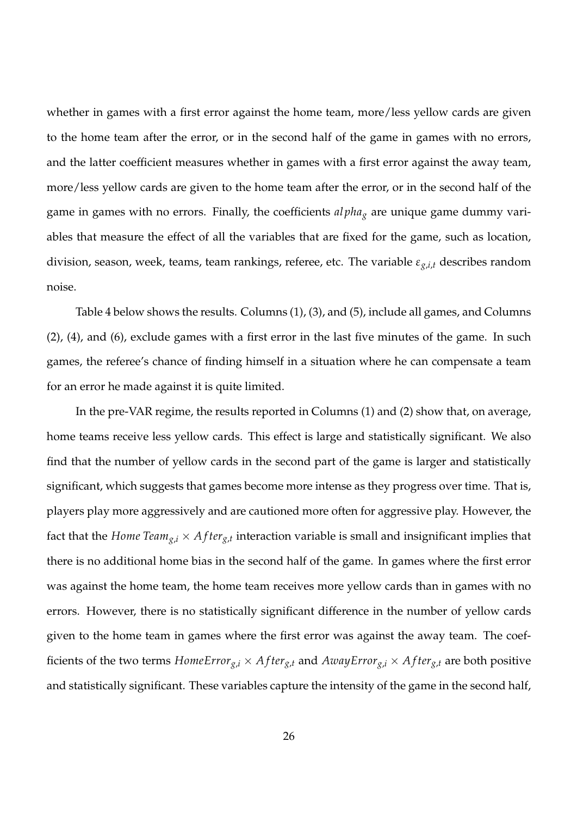whether in games with a first error against the home team, more/less yellow cards are given to the home team after the error, or in the second half of the game in games with no errors, and the latter coefficient measures whether in games with a first error against the away team, more/less yellow cards are given to the home team after the error, or in the second half of the game in games with no errors. Finally, the coefficients *al pha<sup>g</sup>* are unique game dummy variables that measure the effect of all the variables that are fixed for the game, such as location, division, season, week, teams, team rankings, referee, etc. The variable *εg*,*i*,*<sup>t</sup>* describes random noise.

Table 4 below shows the results. Columns (1), (3), and (5), include all games, and Columns (2), (4), and (6), exclude games with a first error in the last five minutes of the game. In such games, the referee's chance of finding himself in a situation where he can compensate a team for an error he made against it is quite limited.

In the pre-VAR regime, the results reported in Columns (1) and (2) show that, on average, home teams receive less yellow cards. This effect is large and statistically significant. We also find that the number of yellow cards in the second part of the game is larger and statistically significant, which suggests that games become more intense as they progress over time. That is, players play more aggressively and are cautioned more often for aggressive play. However, the fact that the *Home Team*<sub>*g*,*i*</sub>  $\times$  *After*<sub>*g*,*t*</sub> interaction variable is small and insignificant implies that there is no additional home bias in the second half of the game. In games where the first error was against the home team, the home team receives more yellow cards than in games with no errors. However, there is no statistically significant difference in the number of yellow cards given to the home team in games where the first error was against the away team. The coefficients of the two terms  $HomeError_{g,i} \times After_{g,t}$  and  $AuxyError_{g,i} \times After_{g,t}$  are both positive and statistically significant. These variables capture the intensity of the game in the second half,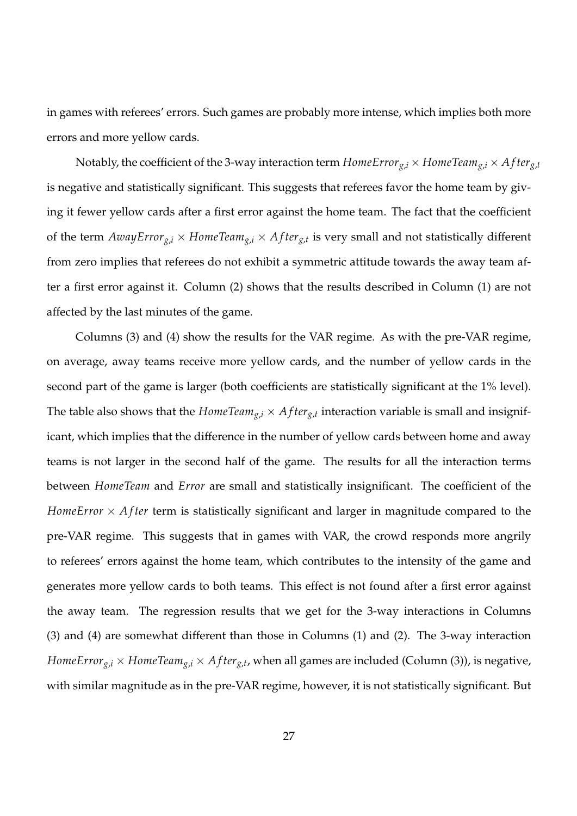in games with referees' errors. Such games are probably more intense, which implies both more errors and more yellow cards.

Notably, the coefficient of the 3-way interaction term  $HomeError_{g,i} \times HomeTeam_{g,i} \times After_{g,t}$ is negative and statistically significant. This suggests that referees favor the home team by giving it fewer yellow cards after a first error against the home team. The fact that the coefficient of the term  $AwayError_{g,i} \times HomeTeam_{g,i} \times After_{g,t}$  is very small and not statistically different from zero implies that referees do not exhibit a symmetric attitude towards the away team after a first error against it. Column (2) shows that the results described in Column (1) are not affected by the last minutes of the game.

Columns (3) and (4) show the results for the VAR regime. As with the pre-VAR regime, on average, away teams receive more yellow cards, and the number of yellow cards in the second part of the game is larger (both coefficients are statistically significant at the 1% level). The table also shows that the  $HomeTeam_{g,i} \times After_{g,t}$  interaction variable is small and insignificant, which implies that the difference in the number of yellow cards between home and away teams is not larger in the second half of the game. The results for all the interaction terms between *HomeTeam* and *Error* are small and statistically insignificant. The coefficient of the *HomeError*  $\times$  *After* term is statistically significant and larger in magnitude compared to the pre-VAR regime. This suggests that in games with VAR, the crowd responds more angrily to referees' errors against the home team, which contributes to the intensity of the game and generates more yellow cards to both teams. This effect is not found after a first error against the away team. The regression results that we get for the 3-way interactions in Columns (3) and (4) are somewhat different than those in Columns (1) and (2). The 3-way interaction  $HomeError_{g,i}\times HomeTeam_{g,i}\times After_{g,t}$ , when all games are included (Column (3)), is negative, with similar magnitude as in the pre-VAR regime, however, it is not statistically significant. But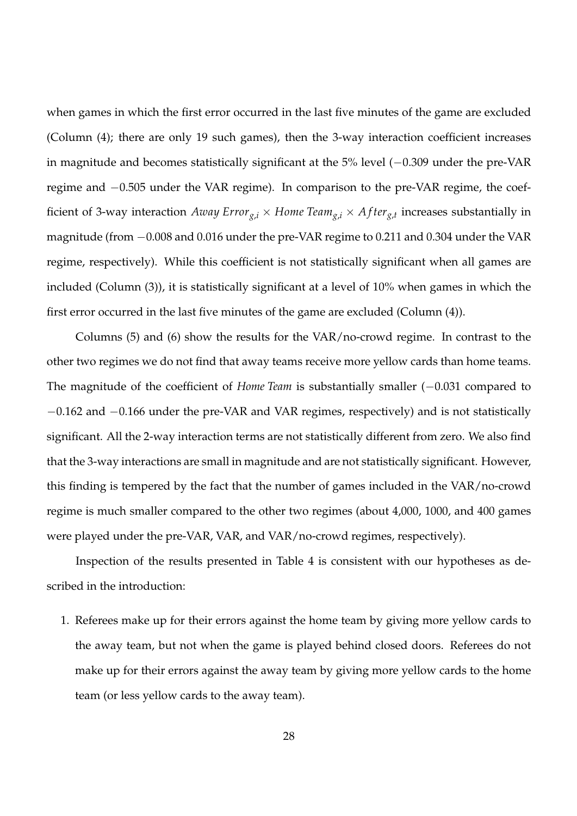when games in which the first error occurred in the last five minutes of the game are excluded (Column (4); there are only 19 such games), then the 3-way interaction coefficient increases in magnitude and becomes statistically significant at the 5% level (−0.309 under the pre-VAR regime and −0.505 under the VAR regime). In comparison to the pre-VAR regime, the coefficient of 3-way interaction  $A$ way Erro $r_{g,i} \times H$ ome Team $_{g,i} \times A$ fter $_{g,t}$  increases substantially in magnitude (from −0.008 and 0.016 under the pre-VAR regime to 0.211 and 0.304 under the VAR regime, respectively). While this coefficient is not statistically significant when all games are included (Column (3)), it is statistically significant at a level of 10% when games in which the first error occurred in the last five minutes of the game are excluded (Column (4)).

Columns (5) and (6) show the results for the VAR/no-crowd regime. In contrast to the other two regimes we do not find that away teams receive more yellow cards than home teams. The magnitude of the coefficient of *Home Team* is substantially smaller (−0.031 compared to −0.162 and −0.166 under the pre-VAR and VAR regimes, respectively) and is not statistically significant. All the 2-way interaction terms are not statistically different from zero. We also find that the 3-way interactions are small in magnitude and are not statistically significant. However, this finding is tempered by the fact that the number of games included in the VAR/no-crowd regime is much smaller compared to the other two regimes (about 4,000, 1000, and 400 games were played under the pre-VAR, VAR, and VAR/no-crowd regimes, respectively).

Inspection of the results presented in Table 4 is consistent with our hypotheses as described in the introduction:

1. Referees make up for their errors against the home team by giving more yellow cards to the away team, but not when the game is played behind closed doors. Referees do not make up for their errors against the away team by giving more yellow cards to the home team (or less yellow cards to the away team).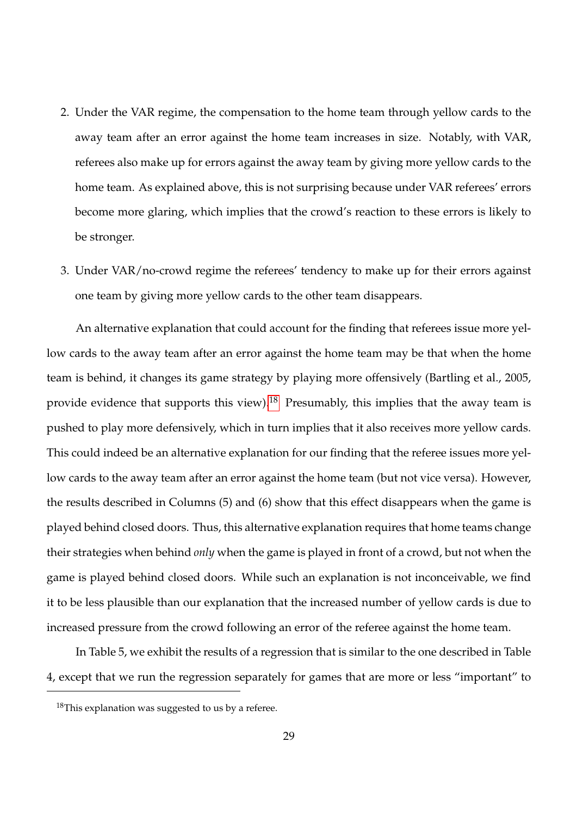- 2. Under the VAR regime, the compensation to the home team through yellow cards to the away team after an error against the home team increases in size. Notably, with VAR, referees also make up for errors against the away team by giving more yellow cards to the home team. As explained above, this is not surprising because under VAR referees' errors become more glaring, which implies that the crowd's reaction to these errors is likely to be stronger.
- 3. Under VAR/no-crowd regime the referees' tendency to make up for their errors against one team by giving more yellow cards to the other team disappears.

An alternative explanation that could account for the finding that referees issue more yellow cards to the away team after an error against the home team may be that when the home team is behind, it changes its game strategy by playing more offensively (Bartling et al., 2005, provide evidence that supports this view).<sup>[18](#page-32-0)</sup> Presumably, this implies that the away team is pushed to play more defensively, which in turn implies that it also receives more yellow cards. This could indeed be an alternative explanation for our finding that the referee issues more yellow cards to the away team after an error against the home team (but not vice versa). However, the results described in Columns (5) and (6) show that this effect disappears when the game is played behind closed doors. Thus, this alternative explanation requires that home teams change their strategies when behind *only* when the game is played in front of a crowd, but not when the game is played behind closed doors. While such an explanation is not inconceivable, we find it to be less plausible than our explanation that the increased number of yellow cards is due to increased pressure from the crowd following an error of the referee against the home team.

In Table 5, we exhibit the results of a regression that is similar to the one described in Table 4, except that we run the regression separately for games that are more or less "important" to

<span id="page-32-0"></span> $18$ This explanation was suggested to us by a referee.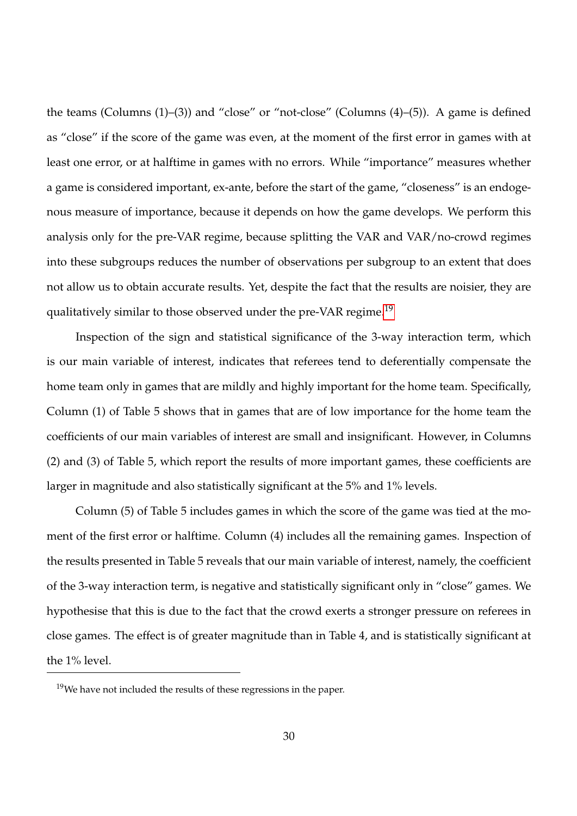the teams (Columns (1)–(3)) and "close" or "not-close" (Columns (4)–(5)). A game is defined as "close" if the score of the game was even, at the moment of the first error in games with at least one error, or at halftime in games with no errors. While "importance" measures whether a game is considered important, ex-ante, before the start of the game, "closeness" is an endogenous measure of importance, because it depends on how the game develops. We perform this analysis only for the pre-VAR regime, because splitting the VAR and VAR/no-crowd regimes into these subgroups reduces the number of observations per subgroup to an extent that does not allow us to obtain accurate results. Yet, despite the fact that the results are noisier, they are qualitatively similar to those observed under the pre-VAR regime.<sup>[19](#page-33-0)</sup>

Inspection of the sign and statistical significance of the 3-way interaction term, which is our main variable of interest, indicates that referees tend to deferentially compensate the home team only in games that are mildly and highly important for the home team. Specifically, Column (1) of Table 5 shows that in games that are of low importance for the home team the coefficients of our main variables of interest are small and insignificant. However, in Columns (2) and (3) of Table 5, which report the results of more important games, these coefficients are larger in magnitude and also statistically significant at the 5% and 1% levels.

Column (5) of Table 5 includes games in which the score of the game was tied at the moment of the first error or halftime. Column (4) includes all the remaining games. Inspection of the results presented in Table 5 reveals that our main variable of interest, namely, the coefficient of the 3-way interaction term, is negative and statistically significant only in "close" games. We hypothesise that this is due to the fact that the crowd exerts a stronger pressure on referees in close games. The effect is of greater magnitude than in Table 4, and is statistically significant at the 1% level.

<span id="page-33-0"></span> $19$ We have not included the results of these regressions in the paper.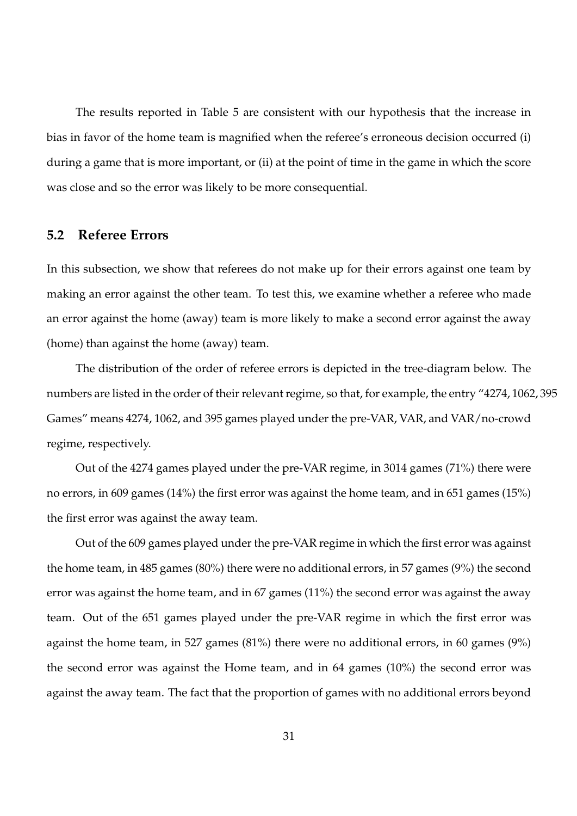The results reported in Table 5 are consistent with our hypothesis that the increase in bias in favor of the home team is magnified when the referee's erroneous decision occurred (i) during a game that is more important, or (ii) at the point of time in the game in which the score was close and so the error was likely to be more consequential.

### **5.2 Referee Errors**

In this subsection, we show that referees do not make up for their errors against one team by making an error against the other team. To test this, we examine whether a referee who made an error against the home (away) team is more likely to make a second error against the away (home) than against the home (away) team.

The distribution of the order of referee errors is depicted in the tree-diagram below. The numbers are listed in the order of their relevant regime, so that, for example, the entry "4274, 1062, 395 Games" means 4274, 1062, and 395 games played under the pre-VAR, VAR, and VAR/no-crowd regime, respectively.

Out of the 4274 games played under the pre-VAR regime, in 3014 games (71%) there were no errors, in 609 games (14%) the first error was against the home team, and in 651 games (15%) the first error was against the away team.

Out of the 609 games played under the pre-VAR regime in which the first error was against the home team, in 485 games (80%) there were no additional errors, in 57 games (9%) the second error was against the home team, and in 67 games (11%) the second error was against the away team. Out of the 651 games played under the pre-VAR regime in which the first error was against the home team, in 527 games (81%) there were no additional errors, in 60 games (9%) the second error was against the Home team, and in 64 games (10%) the second error was against the away team. The fact that the proportion of games with no additional errors beyond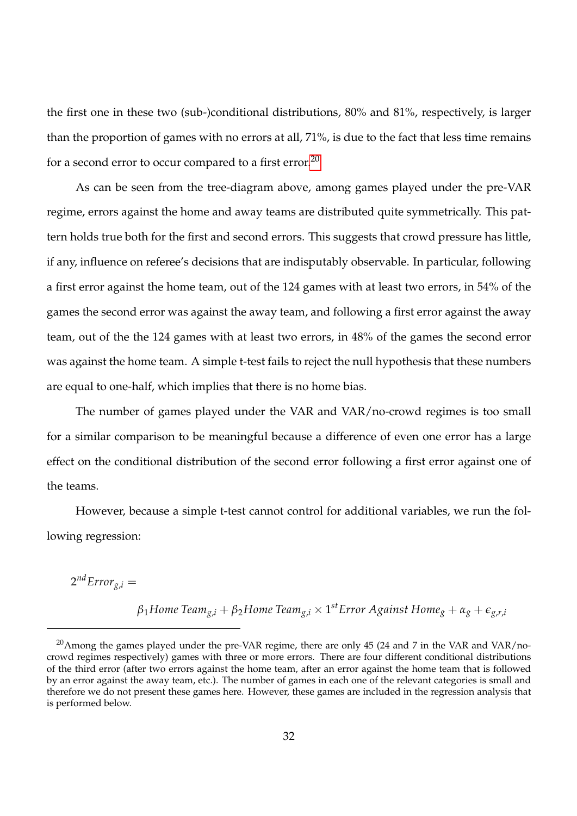the first one in these two (sub-)conditional distributions, 80% and 81%, respectively, is larger than the proportion of games with no errors at all, 71%, is due to the fact that less time remains for a second error to occur compared to a first error.<sup>[20](#page-35-0)</sup>

As can be seen from the tree-diagram above, among games played under the pre-VAR regime, errors against the home and away teams are distributed quite symmetrically. This pattern holds true both for the first and second errors. This suggests that crowd pressure has little, if any, influence on referee's decisions that are indisputably observable. In particular, following a first error against the home team, out of the 124 games with at least two errors, in 54% of the games the second error was against the away team, and following a first error against the away team, out of the the 124 games with at least two errors, in 48% of the games the second error was against the home team. A simple t-test fails to reject the null hypothesis that these numbers are equal to one-half, which implies that there is no home bias.

The number of games played under the VAR and VAR/no-crowd regimes is too small for a similar comparison to be meaningful because a difference of even one error has a large effect on the conditional distribution of the second error following a first error against one of the teams.

However, because a simple t-test cannot control for additional variables, we run the following regression:

 $2^{nd}Error_{g,i} =$ 

*β*1*Home Teamg*,*<sup>i</sup>* + *β*2*Home Teamg*,*<sup>i</sup>* × 1 *stError Against Home<sup>g</sup>* + *α<sup>g</sup>* + *eg*,*r*,*<sup>i</sup>*

<span id="page-35-0"></span><sup>&</sup>lt;sup>20</sup>Among the games played under the pre-VAR regime, there are only 45 (24 and 7 in the VAR and VAR/nocrowd regimes respectively) games with three or more errors. There are four different conditional distributions of the third error (after two errors against the home team, after an error against the home team that is followed by an error against the away team, etc.). The number of games in each one of the relevant categories is small and therefore we do not present these games here. However, these games are included in the regression analysis that is performed below.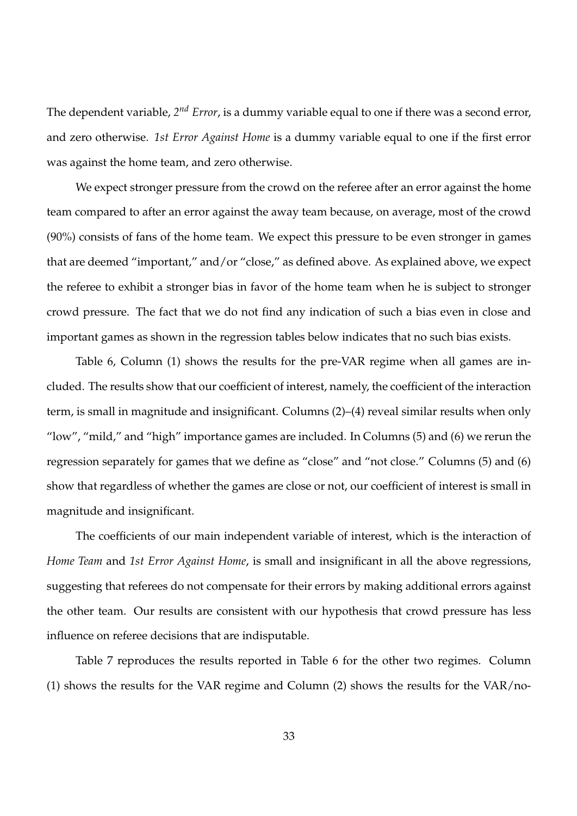The dependent variable*, 2<sup>nd</sup> Error,* is a dummy variable equal to one if there was a second error, and zero otherwise. *1st Error Against Home* is a dummy variable equal to one if the first error was against the home team, and zero otherwise.

We expect stronger pressure from the crowd on the referee after an error against the home team compared to after an error against the away team because, on average, most of the crowd (90%) consists of fans of the home team. We expect this pressure to be even stronger in games that are deemed "important," and/or "close," as defined above. As explained above, we expect the referee to exhibit a stronger bias in favor of the home team when he is subject to stronger crowd pressure. The fact that we do not find any indication of such a bias even in close and important games as shown in the regression tables below indicates that no such bias exists.

Table 6, Column (1) shows the results for the pre-VAR regime when all games are included. The results show that our coefficient of interest, namely, the coefficient of the interaction term, is small in magnitude and insignificant. Columns (2)–(4) reveal similar results when only "low", "mild," and "high" importance games are included. In Columns (5) and (6) we rerun the regression separately for games that we define as "close" and "not close." Columns (5) and (6) show that regardless of whether the games are close or not, our coefficient of interest is small in magnitude and insignificant.

The coefficients of our main independent variable of interest, which is the interaction of *Home Team* and *1st Error Against Home*, is small and insignificant in all the above regressions, suggesting that referees do not compensate for their errors by making additional errors against the other team. Our results are consistent with our hypothesis that crowd pressure has less influence on referee decisions that are indisputable.

Table 7 reproduces the results reported in Table 6 for the other two regimes. Column (1) shows the results for the VAR regime and Column (2) shows the results for the VAR/no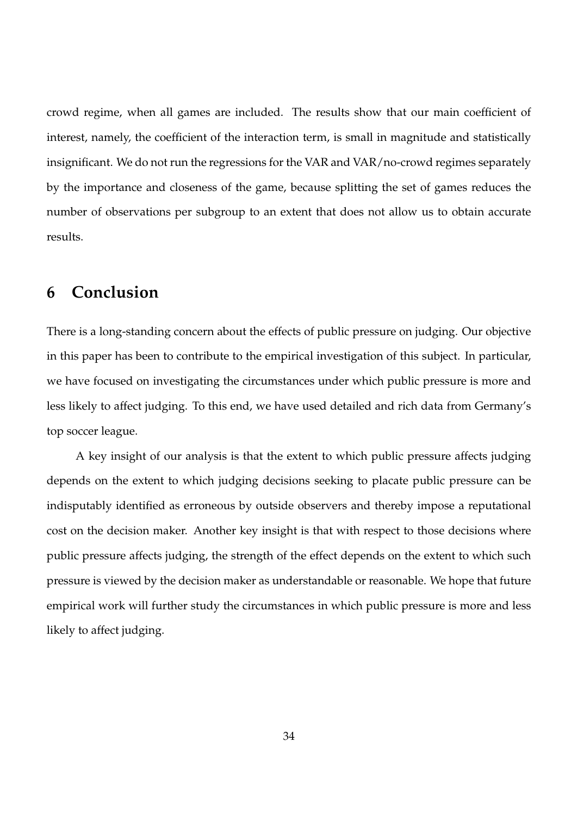crowd regime, when all games are included. The results show that our main coefficient of interest, namely, the coefficient of the interaction term, is small in magnitude and statistically insignificant. We do not run the regressions for the VAR and VAR/no-crowd regimes separately by the importance and closeness of the game, because splitting the set of games reduces the number of observations per subgroup to an extent that does not allow us to obtain accurate results.

# **6 Conclusion**

There is a long-standing concern about the effects of public pressure on judging. Our objective in this paper has been to contribute to the empirical investigation of this subject. In particular, we have focused on investigating the circumstances under which public pressure is more and less likely to affect judging. To this end, we have used detailed and rich data from Germany's top soccer league.

A key insight of our analysis is that the extent to which public pressure affects judging depends on the extent to which judging decisions seeking to placate public pressure can be indisputably identified as erroneous by outside observers and thereby impose a reputational cost on the decision maker. Another key insight is that with respect to those decisions where public pressure affects judging, the strength of the effect depends on the extent to which such pressure is viewed by the decision maker as understandable or reasonable. We hope that future empirical work will further study the circumstances in which public pressure is more and less likely to affect judging.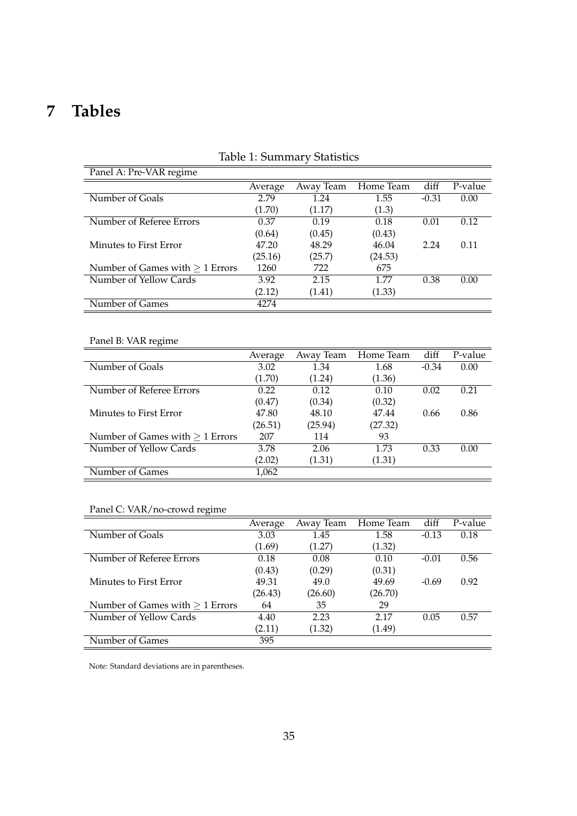# **7 Tables**

| Panel A: Pre-VAR regime           |         |           |           |         |         |  |  |
|-----------------------------------|---------|-----------|-----------|---------|---------|--|--|
|                                   | Average | Away Team | Home Team | diff    | P-value |  |  |
| Number of Goals                   | 2.79    | 1.24      | 1.55      | $-0.31$ | 0.00    |  |  |
|                                   | (1.70)  | (1.17)    | (1.3)     |         |         |  |  |
| Number of Referee Errors          | 0.37    | 0.19      | 0.18      | 0.01    | 0.12    |  |  |
|                                   | (0.64)  | (0.45)    | (0.43)    |         |         |  |  |
| Minutes to First Error            | 47.20   | 48.29     | 46.04     | 2.24    | 0.11    |  |  |
|                                   | (25.16) | (25.7)    | (24.53)   |         |         |  |  |
| Number of Games with $> 1$ Errors | 1260    | 722       | 675       |         |         |  |  |
| Number of Yellow Cards            | 3.92    | 2.15      | 1 77      | 0.38    | 0.00    |  |  |
|                                   | (2.12)  | (1.41)    | (1.33)    |         |         |  |  |
| Number of Games                   | 4274    |           |           |         |         |  |  |

### Table 1: Summary Statistics

### Panel B: VAR regime

|                                      | Average | Away Team | Home Team | diff    | P-value |
|--------------------------------------|---------|-----------|-----------|---------|---------|
| Number of Goals                      | 3.02    | 1.34      | 1.68      | $-0.34$ | 0.00    |
|                                      | (1.70)  | (1.24)    | (1.36)    |         |         |
| Number of Referee Errors             | 0.22    | 0.12      | 0.10      | 0.02    | 0.21    |
|                                      | (0.47)  | (0.34)    | (0.32)    |         |         |
| Minutes to First Error               | 47.80   | 48.10     | 47.44     | 0.66    | 0.86    |
|                                      | (26.51) | (25.94)   | (27.32)   |         |         |
| Number of Games with $\geq 1$ Errors | 207     | 114       | 93        |         |         |
| Number of Yellow Cards               | 3.78    | 2.06      | 1.73      | 0.33    | 0.00    |
|                                      | (2.02)  | (1.31)    | (1.31)    |         |         |
| Number of Games                      | 1,062   |           |           |         |         |

### Panel C: VAR/no-crowd regime

|                                      | Average | Away Team | Home Team | diff    | P-value |
|--------------------------------------|---------|-----------|-----------|---------|---------|
| Number of Goals                      | 3.03    | 1.45      | 1.58      | $-0.13$ | 0.18    |
|                                      | (1.69)  | (1.27)    | (1.32)    |         |         |
| Number of Referee Errors             | 0.18    | 0.08      | 0.10      | $-0.01$ | 0.56    |
|                                      | (0.43)  | (0.29)    | (0.31)    |         |         |
| Minutes to First Error               | 49.31   | 49.0      | 49.69     | $-0.69$ | 0.92    |
|                                      | (26.43) | (26.60)   | (26.70)   |         |         |
| Number of Games with $\geq 1$ Errors | 64      | 35        | 29        |         |         |
| Number of Yellow Cards               | 4.40    | 2.23      | 2.17      | 0.05    | 0.57    |
|                                      | (2.11)  | (1.32)    | (1.49)    |         |         |
| Number of Games                      | 395     |           |           |         |         |

Note: Standard deviations are in parentheses.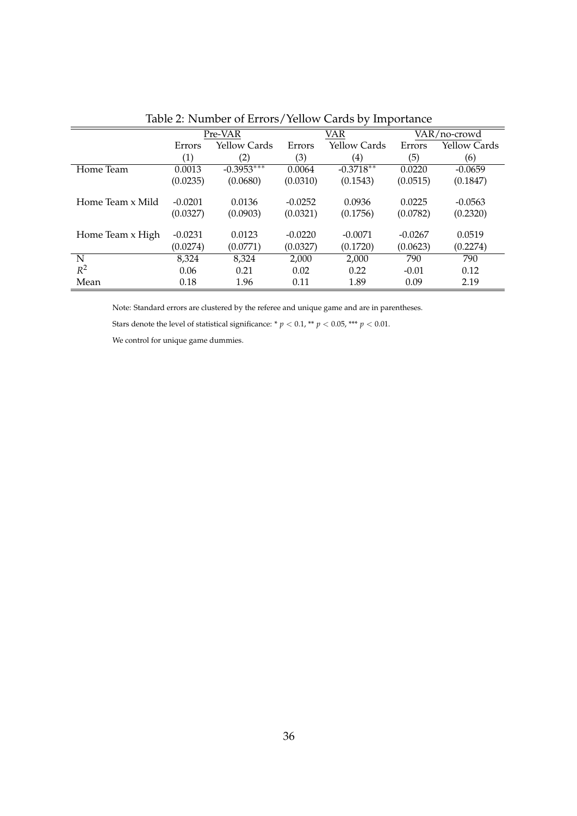|                  |           | Pre-VAR      |           | VAR               |           | VAR/no-crowd        |  |
|------------------|-----------|--------------|-----------|-------------------|-----------|---------------------|--|
|                  | Errors    | Yellow Cards | Errors    | Yellow Cards      | Errors    | <b>Yellow Cards</b> |  |
|                  | (1)       | (2)          | (3)       | $\left( 4\right)$ | (5)       | (6)                 |  |
| Home Team        | 0.0013    | $-0.3953***$ | 0.0064    | $-0.3718**$       | 0.0220    | $-0.0659$           |  |
|                  | (0.0235)  | (0.0680)     | (0.0310)  | (0.1543)          | (0.0515)  | (0.1847)            |  |
| Home Team x Mild | $-0.0201$ | 0.0136       | $-0.0252$ | 0.0936            | 0.0225    | $-0.0563$           |  |
|                  | (0.0327)  | (0.0903)     | (0.0321)  | (0.1756)          | (0.0782)  | (0.2320)            |  |
| Home Team x High | $-0.0231$ | 0.0123       | $-0.0220$ | $-0.0071$         | $-0.0267$ | 0.0519              |  |
|                  | (0.0274)  | (0.0771)     | (0.0327)  | (0.1720)          | (0.0623)  | (0.2274)            |  |
| N                | 8,324     | 8,324        | 2,000     | 2,000             | 790       | 790                 |  |
| $R^2$            | 0.06      | 0.21         | 0.02      | 0.22              | $-0.01$   | 0.12                |  |
| Mean             | 0.18      | 1.96         | 0.11      | 1.89              | 0.09      | 2.19                |  |

Table 2: Number of Errors/Yellow Cards by Importance

Note: Standard errors are clustered by the referee and unique game and are in parentheses.

Stars denote the level of statistical significance: \* $p < 0.1,$  \*\*  $p < 0.05,$  \*\*\*  $p < 0.01.$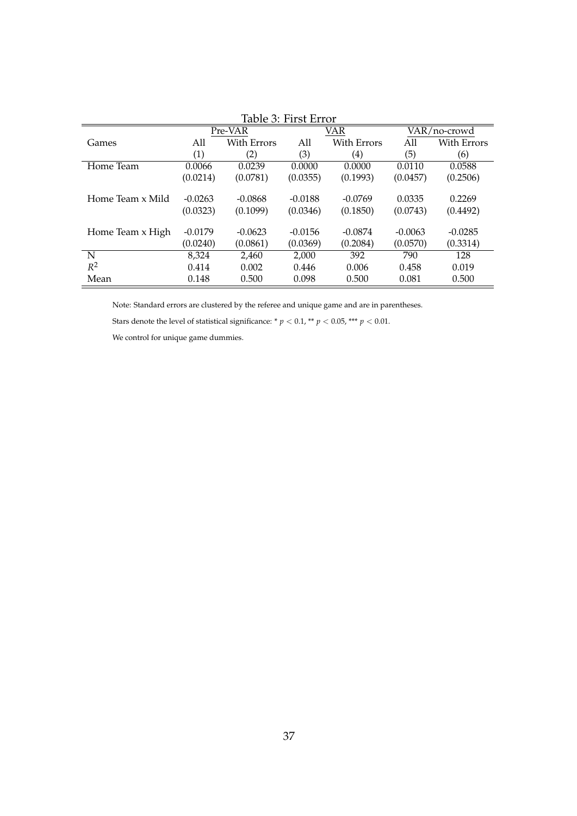| Table 3: FIFST EFFOF |           |             |           |             |           |                    |  |
|----------------------|-----------|-------------|-----------|-------------|-----------|--------------------|--|
|                      |           | Pre-VAR     |           | VAR         |           | VAR/no-crowd       |  |
| Games                | All       | With Errors | All       | With Errors | All       | <b>With Errors</b> |  |
|                      | (1)       | (2)         | (3)       | (4)         | (5)       | (6)                |  |
| Home Team            | 0.0066    | 0.0239      | 0.0000    | 0.0000      | 0.0110    | 0.0588             |  |
|                      | (0.0214)  | (0.0781)    | (0.0355)  | (0.1993)    | (0.0457)  | (0.2506)           |  |
|                      |           |             |           |             |           |                    |  |
| Home Team x Mild     | $-0.0263$ | $-0.0868$   | $-0.0188$ | $-0.0769$   | 0.0335    | 0.2269             |  |
|                      | (0.0323)  | (0.1099)    | (0.0346)  | (0.1850)    | (0.0743)  | (0.4492)           |  |
|                      |           |             |           |             |           |                    |  |
| Home Team x High     | $-0.0179$ | $-0.0623$   | $-0.0156$ | $-0.0874$   | $-0.0063$ | $-0.0285$          |  |
|                      | (0.0240)  | (0.0861)    | (0.0369)  | (0.2084)    | (0.0570)  | (0.3314)           |  |
| N                    | 8,324     | 2,460       | 2,000     | 392         | 790       | 128                |  |
| $R^2$                | 0.414     | 0.002       | 0.446     | 0.006       | 0.458     | 0.019              |  |
| Mean                 | 0.148     | 0.500       | 0.098     | 0.500       | 0.081     | 0.500              |  |

Table 3: First Error

Note: Standard errors are clustered by the referee and unique game and are in parentheses.

Stars denote the level of statistical significance: \*  $p < 0.1$  \*\*  $p < 0.05$  \*\*\*  $p < 0.01.$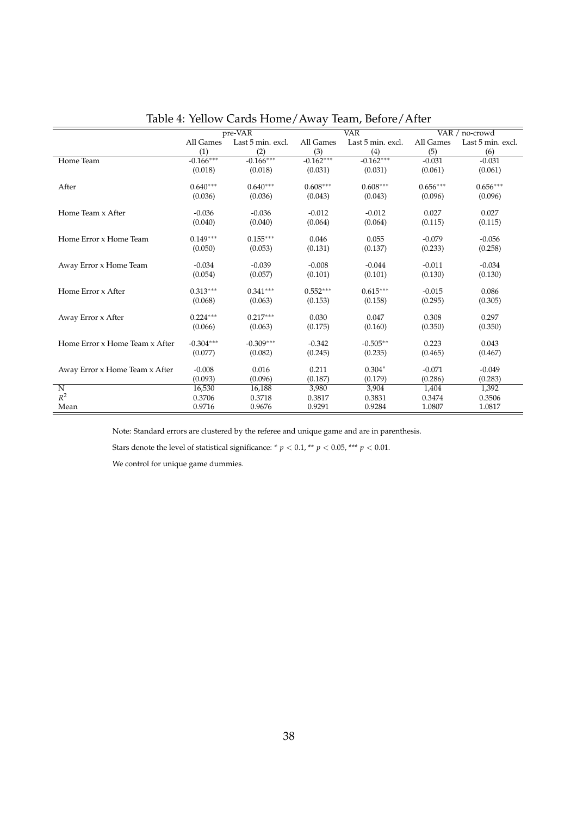|                                |             | pre-VAR           |             | $\overline{\text{VAR}}$ | VAR $/$ no-crowd |                   |
|--------------------------------|-------------|-------------------|-------------|-------------------------|------------------|-------------------|
|                                | All Games   | Last 5 min. excl. | All Games   | Last 5 min. excl.       | All Games        | Last 5 min. excl. |
|                                | (1)         | (2)               | (3)         | (4)                     | (5)              | (6)               |
| Home Team                      | $-0.166***$ | $-0.166***$       | $-0.162***$ | $-0.162***$             | $-0.031$         | $-0.031$          |
|                                | (0.018)     | (0.018)           | (0.031)     | (0.031)                 | (0.061)          | (0.061)           |
|                                |             |                   |             |                         |                  |                   |
| After                          | $0.640***$  | $0.640***$        | $0.608***$  | $0.608***$              | $0.656***$       | $0.656***$        |
|                                | (0.036)     | (0.036)           | (0.043)     | (0.043)                 | (0.096)          | (0.096)           |
| Home Team x After              | $-0.036$    | $-0.036$          | $-0.012$    | $-0.012$                | 0.027            | 0.027             |
|                                | (0.040)     | (0.040)           | (0.064)     | (0.064)                 | (0.115)          | (0.115)           |
|                                |             |                   |             |                         |                  |                   |
| Home Error x Home Team         | $0.149***$  | $0.155***$        | 0.046       | 0.055                   | $-0.079$         | $-0.056$          |
|                                | (0.050)     | (0.053)           | (0.131)     | (0.137)                 | (0.233)          | (0.258)           |
| Away Error x Home Team         | $-0.034$    | $-0.039$          | $-0.008$    | $-0.044$                | $-0.011$         | $-0.034$          |
|                                | (0.054)     | (0.057)           | (0.101)     | (0.101)                 | (0.130)          | (0.130)           |
|                                |             |                   |             |                         |                  |                   |
| Home Error x After             | $0.313***$  | $0.341***$        | $0.552***$  | $0.615***$              | $-0.015$         | 0.086             |
|                                | (0.068)     | (0.063)           | (0.153)     | (0.158)                 | (0.295)          | (0.305)           |
|                                | $0.224***$  | $0.217***$        |             |                         |                  |                   |
| Away Error x After             | (0.066)     |                   | 0.030       | 0.047                   | 0.308            | 0.297             |
|                                |             | (0.063)           | (0.175)     | (0.160)                 | (0.350)          | (0.350)           |
| Home Error x Home Team x After | $-0.304***$ | $-0.309***$       | $-0.342$    | $-0.505**$              | 0.223            | 0.043             |
|                                | (0.077)     | (0.082)           | (0.245)     | (0.235)                 | (0.465)          | (0.467)           |
|                                |             |                   |             |                         |                  |                   |
| Away Error x Home Team x After | $-0.008$    | 0.016             | 0.211       | $0.304*$                | $-0.071$         | $-0.049$          |
|                                | (0.093)     | (0.096)           | (0.187)     | (0.179)                 | (0.286)          | (0.283)           |
| $\overline{N}$                 | 16,530      | 16,188            | 3,980       | 3,904                   | 1,404            | 1,392             |
| $R^2$                          | 0.3706      | 0.3718            | 0.3817      | 0.3831                  | 0.3474           | 0.3506            |
| Mean                           | 0.9716      | 0.9676            | 0.9291      | 0.9284                  | 1.0807           | 1.0817            |

Note: Standard errors are clustered by the referee and unique game and are in parenthesis.

Stars denote the level of statistical significance: \*  $p < 0.1,$  \*\*  $p < 0.05,$  \*\*\*  $p < 0.01.$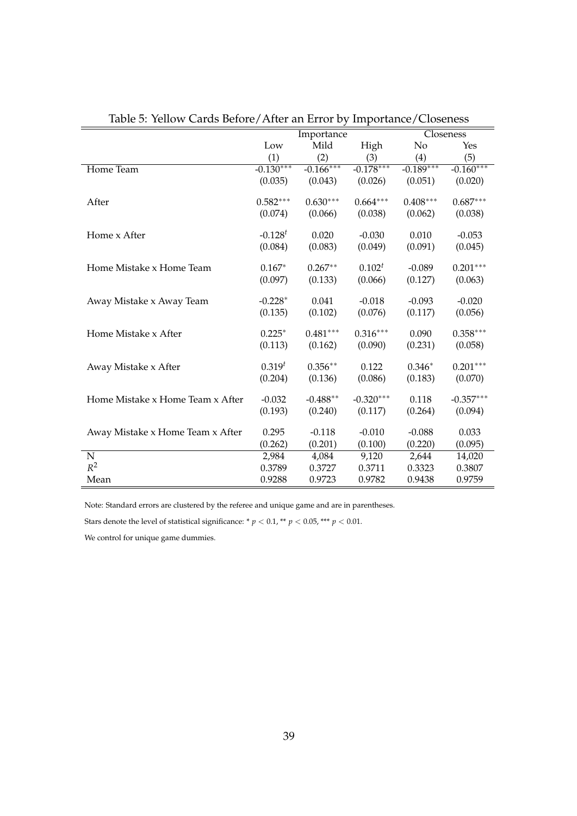|                                  |              | Importance  |             | Closeness   |             |  |
|----------------------------------|--------------|-------------|-------------|-------------|-------------|--|
|                                  | Low          | Mild        | High        | No          | Yes         |  |
|                                  | (1)          | (2)         | (3)         | (4)         | (5)         |  |
| Home Team                        | $-0.130***$  | $-0.166***$ | $-0.178***$ | $-0.189***$ | $-0.160***$ |  |
|                                  | (0.035)      | (0.043)     | (0.026)     | (0.051)     | (0.020)     |  |
| After                            | $0.582***$   | $0.630***$  | $0.664***$  | $0.408***$  | $0.687***$  |  |
|                                  | (0.074)      | (0.066)     | (0.038)     | (0.062)     | (0.038)     |  |
| Home x After                     | $-0.128^{t}$ | 0.020       | $-0.030$    | 0.010       | $-0.053$    |  |
|                                  | (0.084)      | (0.083)     | (0.049)     | (0.091)     | (0.045)     |  |
| Home Mistake x Home Team         | $0.167*$     | $0.267**$   | $0.102^{t}$ | $-0.089$    | $0.201***$  |  |
|                                  | (0.097)      | (0.133)     | (0.066)     | (0.127)     | (0.063)     |  |
| Away Mistake x Away Team         | $-0.228*$    | 0.041       | $-0.018$    | $-0.093$    | $-0.020$    |  |
|                                  | (0.135)      | (0.102)     | (0.076)     | (0.117)     | (0.056)     |  |
| Home Mistake x After             | $0.225*$     | $0.481***$  | $0.316***$  | 0.090       | $0.358***$  |  |
|                                  | (0.113)      | (0.162)     | (0.090)     | (0.231)     | (0.058)     |  |
| Away Mistake x After             | $0.319^{t}$  | $0.356**$   | 0.122       | $0.346*$    | $0.201***$  |  |
|                                  | (0.204)      | (0.136)     | (0.086)     | (0.183)     | (0.070)     |  |
| Home Mistake x Home Team x After | $-0.032$     | $-0.488**$  | $-0.320***$ | 0.118       | $-0.357***$ |  |
|                                  | (0.193)      | (0.240)     | (0.117)     | (0.264)     | (0.094)     |  |
| Away Mistake x Home Team x After | 0.295        | $-0.118$    | $-0.010$    | $-0.088$    | 0.033       |  |
|                                  | (0.262)      | (0.201)     | (0.100)     | (0.220)     | (0.095)     |  |
| $\overline{\mathrm{N}}$          | 2,984        | 4,084       | 9,120       | 2,644       | 14,020      |  |
| $R^2$                            | 0.3789       | 0.3727      | 0.3711      | 0.3323      | 0.3807      |  |
| Mean                             | 0.9288       | 0.9723      | 0.9782      | 0.9438      | 0.9759      |  |

Table 5: Yellow Cards Before/After an Error by Importance/Closeness

Note: Standard errors are clustered by the referee and unique game and are in parentheses.

Stars denote the level of statistical significance: \*  $p < 0.1$ , \*\*  $p < 0.05$ , \*\*\*  $p < 0.01$ .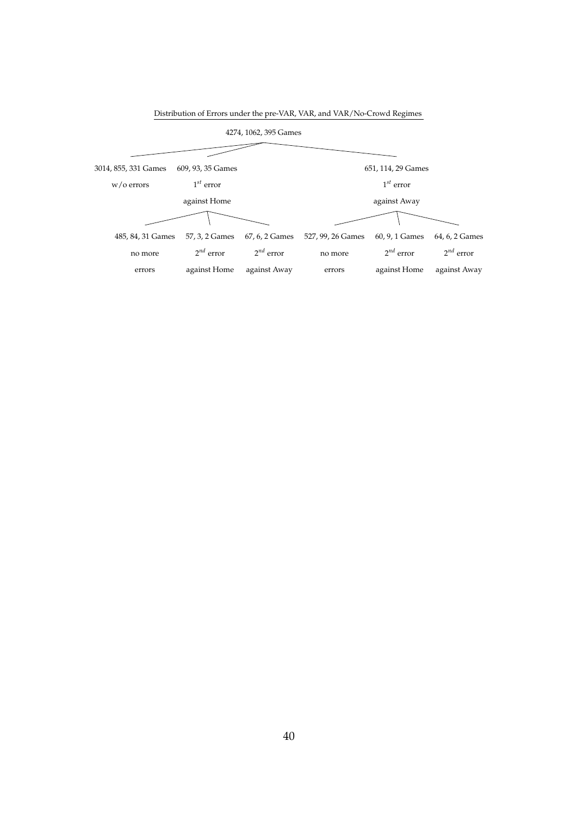| 4274, 1062, 395 Games |                   |                |                   |                    |                |  |
|-----------------------|-------------------|----------------|-------------------|--------------------|----------------|--|
|                       |                   |                |                   |                    |                |  |
| 3014, 855, 331 Games  | 609, 93, 35 Games |                |                   | 651, 114, 29 Games |                |  |
| $w$ /o errors         | $1^{st}$ error    |                |                   | $1^{st}$ error     |                |  |
|                       | against Home      |                |                   | against Away       |                |  |
|                       |                   |                |                   |                    |                |  |
| 485, 84, 31 Games     | 57, 3, 2 Games    | 67, 6, 2 Games | 527, 99, 26 Games | 60, 9, 1 Games     | 64, 6, 2 Games |  |
| no more               | $2^{nd}$ error    | $2^{nd}$ error | no more           | $2^{nd}$ error     | $2^{nd}$ error |  |
| errors                | against Home      | against Away   | errors            | against Home       | against Away   |  |

Distribution of Errors under the pre-VAR, VAR, and VAR/No-Crowd Regimes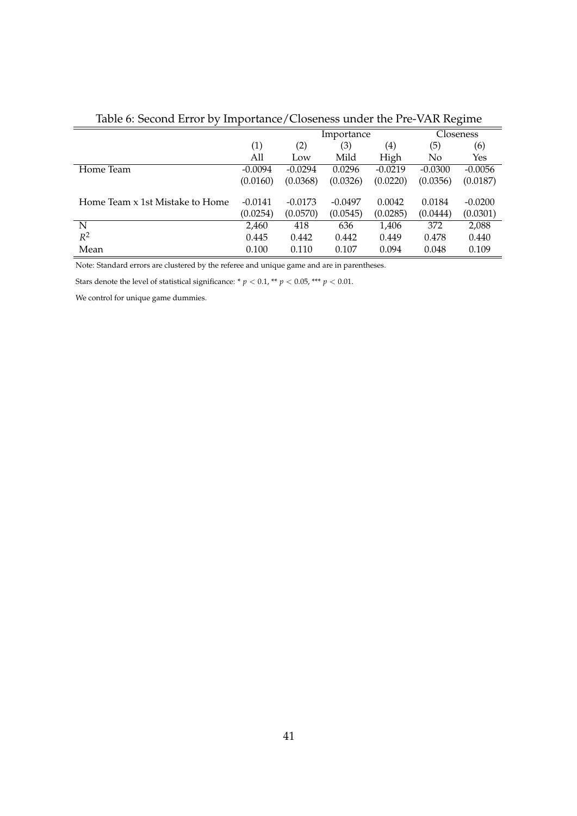| There of occords miller by importance/ Chochelo and the Tree Trin Incentive |           |            |           |                   |           |           |
|-----------------------------------------------------------------------------|-----------|------------|-----------|-------------------|-----------|-----------|
|                                                                             |           | Importance |           |                   | Closeness |           |
|                                                                             | (1)       | (2)        | (3)       | $\left( 4\right)$ | (5)       | (6)       |
|                                                                             | All       | Low        | Mild      | High              | No.       | Yes       |
| Home Team                                                                   | $-0.0094$ | $-0.0294$  | 0.0296    | $-0.0219$         | $-0.0300$ | $-0.0056$ |
|                                                                             | (0.0160)  | (0.0368)   | (0.0326)  | (0.0220)          | (0.0356)  | (0.0187)  |
|                                                                             |           |            |           |                   |           |           |
| Home Team x 1st Mistake to Home                                             | $-0.0141$ | $-0.0173$  | $-0.0497$ | 0.0042            | 0.0184    | $-0.0200$ |
|                                                                             | (0.0254)  | (0.0570)   | (0.0545)  | (0.0285)          | (0.0444)  | (0.0301)  |
| N                                                                           | 2,460     | 418        | 636       | 1,406             | 372       | 2,088     |
| $R^2$                                                                       | 0.445     | 0.442      | 0.442     | 0.449             | 0.478     | 0.440     |
| Mean                                                                        | 0.100     | 0.110      | 0.107     | 0.094             | 0.048     | 0.109     |

Table 6: Second Error by Importance/Closeness under the Pre-VAR Regime

Note: Standard errors are clustered by the referee and unique game and are in parentheses.

Stars denote the level of statistical significance: \*  $p < 0.1$ , \*\*  $p < 0.05$ , \*\*\*  $p < 0.01$ .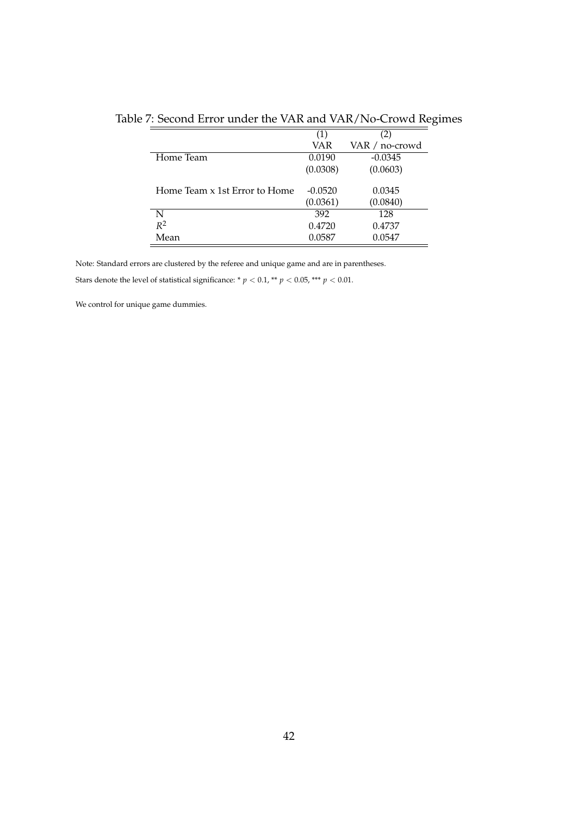|                               | (1)       | (2)            |
|-------------------------------|-----------|----------------|
|                               | VAR       | VAR / no-crowd |
| Home Team                     | 0.0190    | $-0.0345$      |
|                               | (0.0308)  | (0.0603)       |
|                               |           |                |
| Home Team x 1st Error to Home | $-0.0520$ | 0.0345         |
|                               | (0.0361)  | (0.0840)       |
| N                             | 392       | 128            |
| $R^2$                         | 0.4720    | 0.4737         |
| Mean                          | 0.0587    | 0.0547         |

Table 7: Second Error under the VAR and VAR/No-Crowd Regimes

Note: Standard errors are clustered by the referee and unique game and are in parentheses.

Stars denote the level of statistical significance: \*  $p < 0.1,$  \*\*  $p < 0.05,$  \*\*\*  $p < 0.01.$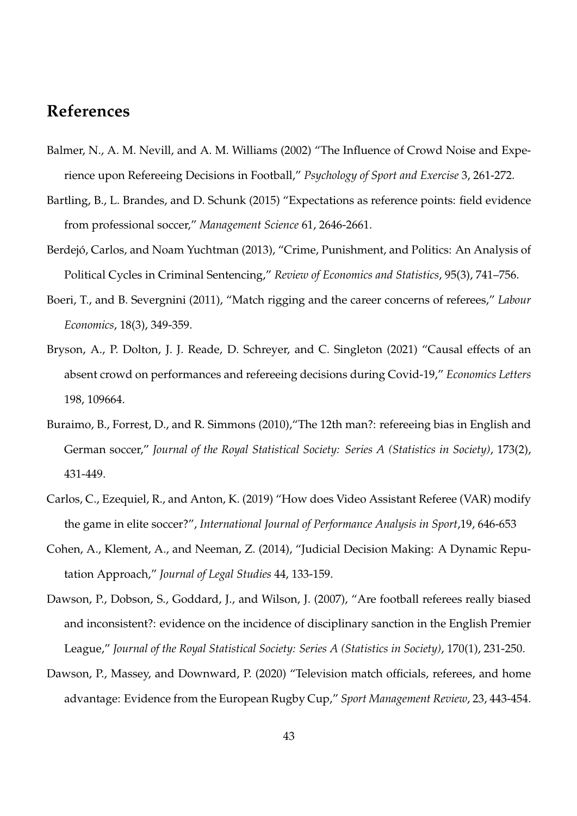# **References**

- Balmer, N., A. M. Nevill, and A. M. Williams (2002) "The Influence of Crowd Noise and Experience upon Refereeing Decisions in Football," *Psychology of Sport and Exercise* 3, 261-272.
- Bartling, B., L. Brandes, and D. Schunk (2015) "Expectations as reference points: field evidence from professional soccer," *Management Science* 61, 2646-2661.
- Berdejó, Carlos, and Noam Yuchtman (2013), "Crime, Punishment, and Politics: An Analysis of Political Cycles in Criminal Sentencing," *Review of Economics and Statistics*, 95(3), 741–756.
- Boeri, T., and B. Severgnini (2011), "Match rigging and the career concerns of referees," *Labour Economics*, 18(3), 349-359.
- Bryson, A., P. Dolton, J. J. Reade, D. Schreyer, and C. Singleton (2021) "Causal effects of an absent crowd on performances and refereeing decisions during Covid-19," *Economics Letters* 198, 109664.
- Buraimo, B., Forrest, D., and R. Simmons (2010), "The 12th man?: refereeing bias in English and German soccer," *Journal of the Royal Statistical Society: Series A (Statistics in Society)*, 173(2), 431-449.
- Carlos, C., Ezequiel, R., and Anton, K. (2019) "How does Video Assistant Referee (VAR) modify the game in elite soccer?", *International Journal of Performance Analysis in Sport*,19, 646-653
- Cohen, A., Klement, A., and Neeman, Z. (2014), "Judicial Decision Making: A Dynamic Reputation Approach," *Journal of Legal Studies* 44, 133-159.
- Dawson, P., Dobson, S., Goddard, J., and Wilson, J. (2007), "Are football referees really biased and inconsistent?: evidence on the incidence of disciplinary sanction in the English Premier League," *Journal of the Royal Statistical Society: Series A (Statistics in Society)*, 170(1), 231-250.
- Dawson, P., Massey, and Downward, P. (2020) "Television match officials, referees, and home advantage: Evidence from the European Rugby Cup," *Sport Management Review*, 23, 443-454.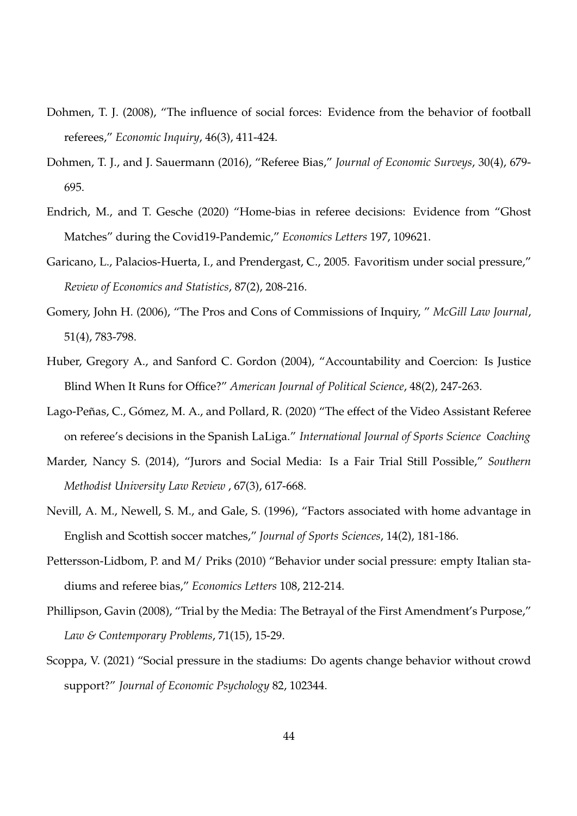- Dohmen, T. J. (2008), "The influence of social forces: Evidence from the behavior of football referees," *Economic Inquiry*, 46(3), 411-424.
- Dohmen, T. J., and J. Sauermann (2016), "Referee Bias," *Journal of Economic Surveys*, 30(4), 679- 695.
- Endrich, M., and T. Gesche (2020) "Home-bias in referee decisions: Evidence from "Ghost Matches" during the Covid19-Pandemic," *Economics Letters* 197, 109621.
- Garicano, L., Palacios-Huerta, I., and Prendergast, C., 2005. Favoritism under social pressure," *Review of Economics and Statistics*, 87(2), 208-216.
- Gomery, John H. (2006), "The Pros and Cons of Commissions of Inquiry, " *McGill Law Journal*, 51(4), 783-798.
- Huber, Gregory A., and Sanford C. Gordon (2004), "Accountability and Coercion: Is Justice Blind When It Runs for Office?" *American Journal of Political Science*, 48(2), 247-263.
- Lago-Peñas, C., Gómez, M. A., and Pollard, R. (2020) "The effect of the Video Assistant Referee on referee's decisions in the Spanish LaLiga." *International Journal of Sports Science Coaching*
- Marder, Nancy S. (2014), "Jurors and Social Media: Is a Fair Trial Still Possible," *Southern Methodist University Law Review* , 67(3), 617-668.
- Nevill, A. M., Newell, S. M., and Gale, S. (1996), "Factors associated with home advantage in English and Scottish soccer matches," *Journal of Sports Sciences*, 14(2), 181-186.
- Pettersson-Lidbom, P. and M/ Priks (2010) "Behavior under social pressure: empty Italian stadiums and referee bias," *Economics Letters* 108, 212-214.
- Phillipson, Gavin (2008), "Trial by the Media: The Betrayal of the First Amendment's Purpose," *Law & Contemporary Problems*, 71(15), 15-29.
- Scoppa, V. (2021) "Social pressure in the stadiums: Do agents change behavior without crowd support?" *Journal of Economic Psychology* 82, 102344.